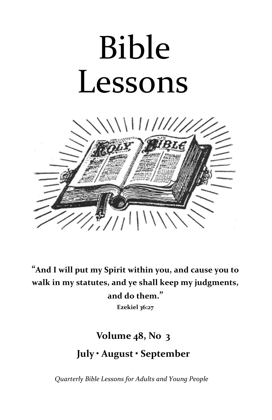# Bible Lessons



**"And I will put my Spirit within you, and cause you to walk in my statutes, and ye shall keep my judgments, and do them." Ezekiel 36:27**

# **Volume 48, No 3**

# **July • August • September**

*Quarterly Bible Lessons for Adults and Young People*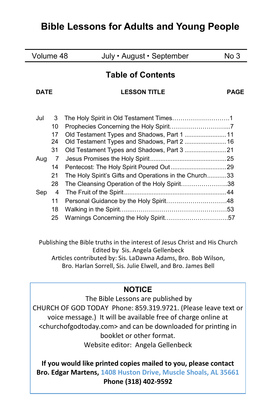# **Bible Lessons for Adults and Young People**

| Volume 48                |     |                | July · August · September                                                                              | No 3        |
|--------------------------|-----|----------------|--------------------------------------------------------------------------------------------------------|-------------|
| <b>Table of Contents</b> |     |                |                                                                                                        |             |
| DATF                     |     |                | <b>LESSON TITLE</b>                                                                                    | <b>PAGE</b> |
|                          | Jul | 3              |                                                                                                        |             |
|                          |     | 10<br>17<br>24 |                                                                                                        |             |
|                          | Aug | 31<br>7        |                                                                                                        |             |
|                          |     | 14             |                                                                                                        |             |
|                          |     | 21<br>28       | The Holy Spirit's Gifts and Operations in the Church33<br>The Cleansing Operation of the Holy Spirit38 |             |
|                          | Sep | 4              |                                                                                                        |             |
|                          |     | 11             |                                                                                                        |             |
|                          |     | 18<br>25       |                                                                                                        |             |
|                          |     |                |                                                                                                        |             |

Publishing the Bible truths in the interest of Jesus Christ and His Church Edited by Sis. Angela Gellenbeck Articles contributed by: Sis. LaDawna Adams, Bro. Bob Wilson, Bro. Harlan Sorrell, Sis. Julie Elwell, and Bro. James Bell

# **NOTICE**

The Bible Lessons are published by CHURCH OF GOD TODAY Phone: 859.319.9721. (Please leave text or voice message.) It will be available free of charge online at <churchofgodtoday.com> and can be downloaded for printing in booklet or other format. Website editor: Angela Gellenbeck

**If you would like printed copies mailed to you, please contact Bro. Edgar Martens, 1408 Huston Drive, Muscle Shoals, AL 35661 Phone (318) 402-9592**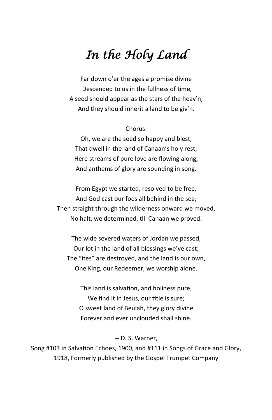# *In the Holy Land*

Far down o'er the ages a promise divine Descended to us in the fullness of time, A seed should appear as the stars of the heav'n, And they should inherit a land to be giv'n.

#### Chorus:

Oh, we are the seed so happy and blest, That dwell in the land of Canaan's holy rest; Here streams of pure love are flowing along, And anthems of glory are sounding in song.

From Egypt we started, resolved to be free, And God cast our foes all behind in the sea; Then straight through the wilderness onward we moved, No halt, we determined, till Canaan we proved.

The wide severed waters of Jordan we passed, Our lot in the land of all blessings we've cast; The "ites" are destroyed, and the land is our own, One King, our Redeemer, we worship alone.

This land is salvation, and holiness pure, We find it in Jesus, our title is sure; O sweet land of Beulah, they glory divine Forever and ever unclouded shall shine.

#### -- D. S. Warner,

Song #103 in Salvation Echoes, 1900, and #111 in Songs of Grace and Glory, 1918, Formerly published by the Gospel Trumpet Company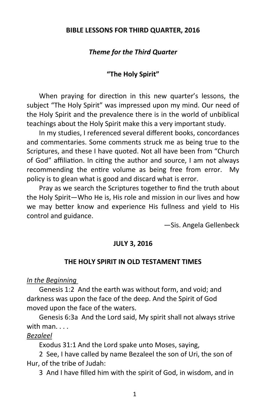#### **BIBLE LESSONS FOR THIRD QUARTER, 2016**

#### *Theme for the Third Quarter*

#### **"The Holy Spirit"**

When praying for direction in this new quarter's lessons, the subject "The Holy Spirit" was impressed upon my mind. Our need of the Holy Spirit and the prevalence there is in the world of unbiblical teachings about the Holy Spirit make this a very important study.

In my studies, I referenced several different books, concordances and commentaries. Some comments struck me as being true to the Scriptures, and these I have quoted. Not all have been from "Church of God" affiliation. In citing the author and source, I am not always recommending the entire volume as being free from error. My policy is to glean what is good and discard what is error.

Pray as we search the Scriptures together to find the truth about the Holy Spirit—Who He is, His role and mission in our lives and how we may better know and experience His fullness and yield to His control and guidance.

—Sis. Angela Gellenbeck

#### **JULY 3, 2016**

#### **THE HOLY SPIRIT IN OLD TESTAMENT TIMES**

#### *In the Beginning*

Genesis 1:2 And the earth was without form, and void; and darkness was upon the face of the deep. And the Spirit of God moved upon the face of the waters.

Genesis 6:3a And the Lord said, My spirit shall not always strive with man. . . .

#### *Bezaleel*

Exodus 31:1 And the Lord spake unto Moses, saying,

2 See, I have called by name Bezaleel the son of Uri, the son of Hur, of the tribe of Judah:

3 And I have filled him with the spirit of God, in wisdom, and in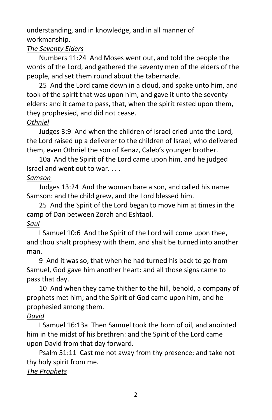understanding, and in knowledge, and in all manner of workmanship.

# *The Seventy Elders*

Numbers 11:24 And Moses went out, and told the people the words of the Lord, and gathered the seventy men of the elders of the people, and set them round about the tabernacle.

25 And the Lord came down in a cloud, and spake unto him, and took of the spirit that was upon him, and gave it unto the seventy elders: and it came to pass, that, when the spirit rested upon them, they prophesied, and did not cease.

# *Othniel*

Judges 3:9 And when the children of Israel cried unto the Lord, the Lord raised up a deliverer to the children of Israel, who delivered them, even Othniel the son of Kenaz, Caleb's younger brother.

10a And the Spirit of the Lord came upon him, and he judged Israel and went out to war. . . .

# *Samson*

Judges 13:24 And the woman bare a son, and called his name Samson: and the child grew, and the Lord blessed him.

25 And the Spirit of the Lord began to move him at times in the camp of Dan between Zorah and Eshtaol. *Saul*

I Samuel 10:6 And the Spirit of the Lord will come upon thee, and thou shalt prophesy with them, and shalt be turned into another man.

9 And it was so, that when he had turned his back to go from Samuel, God gave him another heart: and all those signs came to pass that day.

10 And when they came thither to the hill, behold, a company of prophets met him; and the Spirit of God came upon him, and he prophesied among them.

# *David*

I Samuel 16:13a Then Samuel took the horn of oil, and anointed him in the midst of his brethren: and the Spirit of the Lord came upon David from that day forward.

Psalm 51:11 Cast me not away from thy presence; and take not thy holy spirit from me.

# *The Prophets*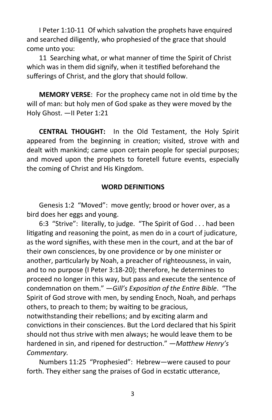I Peter 1:10-11 Of which salvation the prophets have enquired and searched diligently, who prophesied of the grace that should come unto you:

11 Searching what, or what manner of time the Spirit of Christ which was in them did signify, when it testified beforehand the sufferings of Christ, and the glory that should follow.

**MEMORY VERSE**: For the prophecy came not in old time by the will of man: but holy men of God spake as they were moved by the Holy Ghost. —II Peter 1:21

**CENTRAL THOUGHT:** In the Old Testament, the Holy Spirit appeared from the beginning in creation; visited, strove with and dealt with mankind; came upon certain people for special purposes; and moved upon the prophets to foretell future events, especially the coming of Christ and His Kingdom.

#### **WORD DEFINITIONS**

Genesis 1:2 "Moved": move gently; brood or hover over, as a bird does her eggs and young.

6:3 "Strive": literally, to judge. "The Spirit of God . . . had been litigating and reasoning the point, as men do in a court of judicature, as the word signifies, with these men in the court, and at the bar of their own consciences, by one providence or by one minister or another, particularly by Noah, a preacher of righteousness, in vain, and to no purpose (I Peter 3:18-20); therefore, he determines to proceed no longer in this way, but pass and execute the sentence of condemnation on them." —*Gill's Exposition of the Entire Bible*. "The Spirit of God strove with men, by sending Enoch, Noah, and perhaps others, to preach to them; by waiting to be gracious, notwithstanding their rebellions; and by exciting alarm and convictions in their consciences. But the Lord declared that his Spirit should not thus strive with men always; he would leave them to be hardened in sin, and ripened for destruction." —*Matthew Henry's Commentary.*

Numbers 11:25 "Prophesied": Hebrew—were caused to pour forth. They either sang the praises of God in ecstatic utterance,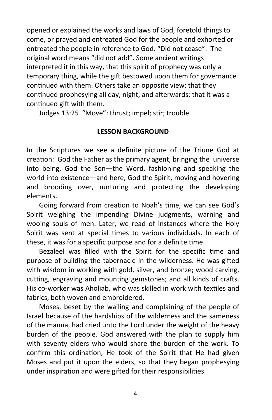opened or explained the works and laws of God, foretold things to come, or prayed and entreated God for the people and exhorted or entreated the people in reference to God. "Did not cease": The original word means "did not add". Some ancient writings interpreted it in this way, that this spirit of prophecy was only a temporary thing, while the gift bestowed upon them for governance continued with them. Others take an opposite view; that they continued prophesying all day, night, and afterwards; that it was a continued gift with them.

Judges 13:25 "Move": thrust; impel; stir; trouble.

# **LESSON BACKGROUND**

In the Scriptures we see a definite picture of the Triune God at creation: God the Father as the primary agent, bringing the universe into being, God the Son—the Word, fashioning and speaking the world into existence—and here, God the Spirit, moving and hovering and brooding over, nurturing and protecting the developing elements.

Going forward from creation to Noah's time, we can see God's Spirit weighing the impending Divine judgments, warning and wooing souls of men. Later, we read of instances where the Holy Spirit was sent at special times to various individuals. In each of these, it was for a specific purpose and for a definite time.

Bezaleel was filled with the Spirit for the specific time and purpose of building the tabernacle in the wilderness. He was gifted with wisdom in working with gold, silver, and bronze; wood carving, cutting, engraving and mounting gemstones; and all kinds of crafts. His co-worker was Aholiab, who was skilled in work with textiles and fabrics, both woven and embroidered.

Moses, beset by the wailing and complaining of the people of Israel because of the hardships of the wilderness and the sameness of the manna, had cried unto the Lord under the weight of the heavy burden of the people. God answered with the plan to supply him with seventy elders who would share the burden of the work. To confirm this ordination, He took of the Spirit that He had given Moses and put it upon the elders, so that they began prophesying under inspiration and were gifted for their responsibilities.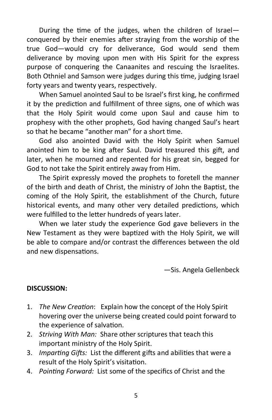During the time of the judges, when the children of Israel conquered by their enemies after straying from the worship of the true God—would cry for deliverance, God would send them deliverance by moving upon men with His Spirit for the express purpose of conquering the Canaanites and rescuing the Israelites. Both Othniel and Samson were judges during this time, judging Israel forty years and twenty years, respectively.

When Samuel anointed Saul to be Israel's first king, he confirmed it by the prediction and fulfillment of three signs, one of which was that the Holy Spirit would come upon Saul and cause him to prophesy with the other prophets, God having changed Saul's heart so that he became "another man" for a short time.

God also anointed David with the Holy Spirit when Samuel anointed him to be king after Saul. David treasured this gift, and later, when he mourned and repented for his great sin, begged for God to not take the Spirit entirely away from Him.

The Spirit expressly moved the prophets to foretell the manner of the birth and death of Christ, the ministry of John the Baptist, the coming of the Holy Spirit, the establishment of the Church, future historical events, and many other very detailed predictions, which were fulfilled to the letter hundreds of years later.

When we later study the experience God gave believers in the New Testament as they were baptized with the Holy Spirit, we will be able to compare and/or contrast the differences between the old and new dispensations.

—Sis. Angela Gellenbeck

# **DISCUSSION:**

- 1. *The New Creation*: Explain how the concept of the Holy Spirit hovering over the universe being created could point forward to the experience of salvation.
- 2. *Striving With Man:* Share other scriptures that teach this important ministry of the Holy Spirit.
- 3. *Imparting Gifts:* List the different gifts and abilities that were a result of the Holy Spirit's visitation.
- 4. *Pointing Forward:* List some of the specifics of Christ and the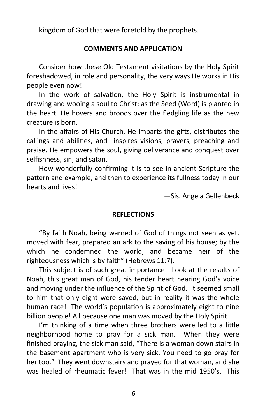kingdom of God that were foretold by the prophets.

#### **COMMENTS AND APPLICATION**

Consider how these Old Testament visitations by the Holy Spirit foreshadowed, in role and personality, the very ways He works in His people even now!

In the work of salvation, the Holy Spirit is instrumental in drawing and wooing a soul to Christ; as the Seed (Word) is planted in the heart, He hovers and broods over the fledgling life as the new creature is born.

In the affairs of His Church, He imparts the gifts, distributes the callings and abilities, and inspires visions, prayers, preaching and praise. He empowers the soul, giving deliverance and conquest over selfishness, sin, and satan.

How wonderfully confirming it is to see in ancient Scripture the pattern and example, and then to experience its fullness today in our hearts and lives!

—Sis. Angela Gellenbeck

#### **REFLECTIONS**

"By faith Noah, being warned of God of things not seen as yet, moved with fear, prepared an ark to the saving of his house; by the which he condemned the world, and became heir of the righteousness which is by faith" (Hebrews 11:7).

This subject is of such great importance! Look at the results of Noah, this great man of God, his tender heart hearing God's voice and moving under the influence of the Spirit of God. It seemed small to him that only eight were saved, but in reality it was the whole human race! The world's population is approximately eight to nine billion people! All because one man was moved by the Holy Spirit.

I'm thinking of a time when three brothers were led to a little neighborhood home to pray for a sick man. When they were finished praying, the sick man said, "There is a woman down stairs in the basement apartment who is very sick. You need to go pray for her too." They went downstairs and prayed for that woman, and she was healed of rheumatic fever! That was in the mid 1950's. This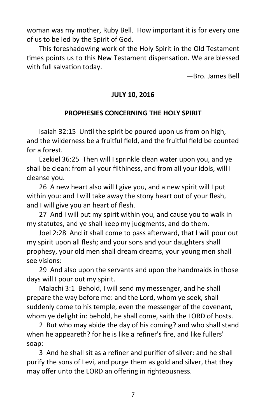woman was my mother, Ruby Bell. How important it is for every one of us to be led by the Spirit of God.

This foreshadowing work of the Holy Spirit in the Old Testament times points us to this New Testament dispensation. We are blessed with full salvation today.

—Bro. James Bell

# **JULY 10, 2016**

# **PROPHESIES CONCERNING THE HOLY SPIRIT**

Isaiah 32:15 Until the spirit be poured upon us from on high, and the wilderness be a fruitful field, and the fruitful field be counted for a forest.

Ezekiel 36:25 Then will I sprinkle clean water upon you, and ye shall be clean: from all your filthiness, and from all your idols, will I cleanse you.

26 A new heart also will I give you, and a new spirit will I put within you: and I will take away the stony heart out of your flesh, and I will give you an heart of flesh.

27 And I will put my spirit within you, and cause you to walk in my statutes, and ye shall keep my judgments, and do them.

Joel 2:28 And it shall come to pass afterward, that I will pour out my spirit upon all flesh; and your sons and your daughters shall prophesy, your old men shall dream dreams, your young men shall see visions:

29 And also upon the servants and upon the handmaids in those days will I pour out my spirit.

Malachi 3:1 Behold, I will send my messenger, and he shall prepare the way before me: and the Lord, whom ye seek, shall suddenly come to his temple, even the messenger of the covenant, whom ye delight in: behold, he shall come, saith the LORD of hosts.

2 But who may abide the day of his coming? and who shall stand when he appeareth? for he is like a refiner's fire, and like fullers' soap:

3 And he shall sit as a refiner and purifier of silver: and he shall purify the sons of Levi, and purge them as gold and silver, that they may offer unto the LORD an offering in righteousness.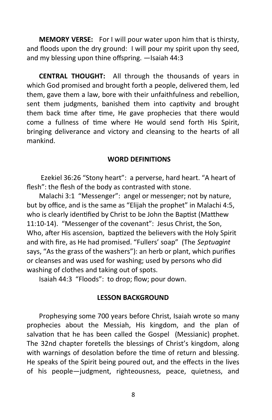**MEMORY VERSE:** For I will pour water upon him that is thirsty, and floods upon the dry ground: I will pour my spirit upon thy seed, and my blessing upon thine offspring. —Isaiah 44:3

**CENTRAL THOUGHT:** All through the thousands of years in which God promised and brought forth a people, delivered them, led them, gave them a law, bore with their unfaithfulness and rebellion, sent them judgments, banished them into captivity and brought them back time after time, He gave prophecies that there would come a fullness of time where He would send forth His Spirit, bringing deliverance and victory and cleansing to the hearts of all mankind.

#### **WORD DEFINITIONS**

Ezekiel 36:26 "Stony heart": a perverse, hard heart. "A heart of flesh": the flesh of the body as contrasted with stone.

Malachi 3:1 "Messenger": angel or messenger; not by nature, but by office, and is the same as "Elijah the prophet" in Malachi 4:5, who is clearly identified by Christ to be John the Baptist (Matthew 11:10-14). "Messenger of the covenant": Jesus Christ, the Son, Who, after His ascension, baptized the believers with the Holy Spirit and with fire, as He had promised. "Fullers' soap" (The *Septuagint* says, "As the grass of the washers"): an herb or plant, which purifies or cleanses and was used for washing; used by persons who did washing of clothes and taking out of spots.

Isaiah 44:3 "Floods": to drop; flow; pour down.

#### **LESSON BACKGROUND**

Prophesying some 700 years before Christ, Isaiah wrote so many prophecies about the Messiah, His kingdom, and the plan of salvation that he has been called the Gospel (Messianic) prophet. The 32nd chapter foretells the blessings of Christ's kingdom, along with warnings of desolation before the time of return and blessing. He speaks of the Spirit being poured out, and the effects in the lives of his people—judgment, righteousness, peace, quietness, and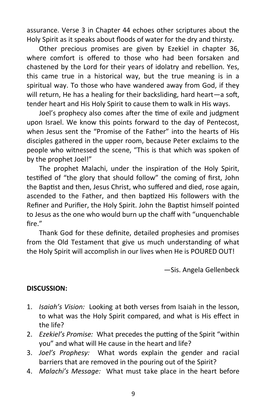assurance. Verse 3 in Chapter 44 echoes other scriptures about the Holy Spirit as it speaks about floods of water for the dry and thirsty.

Other precious promises are given by Ezekiel in chapter 36, where comfort is offered to those who had been forsaken and chastened by the Lord for their years of idolatry and rebellion. Yes, this came true in a historical way, but the true meaning is in a spiritual way. To those who have wandered away from God, if they will return, He has a healing for their backsliding, hard heart—a soft, tender heart and His Holy Spirit to cause them to walk in His ways.

Joel's prophecy also comes after the time of exile and judgment upon Israel. We know this points forward to the day of Pentecost, when Jesus sent the "Promise of the Father" into the hearts of His disciples gathered in the upper room, because Peter exclaims to the people who witnessed the scene, "This is that which was spoken of by the prophet Joel!"

The prophet Malachi, under the inspiration of the Holy Spirit, testified of "the glory that should follow" the coming of first, John the Baptist and then, Jesus Christ, who suffered and died, rose again, ascended to the Father, and then baptized His followers with the Refiner and Purifier, the Holy Spirit. John the Baptist himself pointed to Jesus as the one who would burn up the chaff with "unquenchable fire."

Thank God for these definite, detailed prophesies and promises from the Old Testament that give us much understanding of what the Holy Spirit will accomplish in our lives when He is POURED OUT!

—Sis. Angela Gellenbeck

#### **DISCUSSION:**

- 1. *Isaiah's Vision:* Looking at both verses from Isaiah in the lesson, to what was the Holy Spirit compared, and what is His effect in the life?
- 2. *Ezekiel's Promise:* What precedes the putting of the Spirit "within you" and what will He cause in the heart and life?
- 3. *Joel's Prophesy:* What words explain the gender and racial barriers that are removed in the pouring out of the Spirit?
- 4. *Malachi's Message:* What must take place in the heart before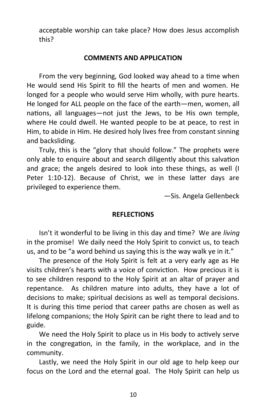acceptable worship can take place? How does Jesus accomplish this?

#### **COMMENTS AND APPLICATION**

From the very beginning, God looked way ahead to a time when He would send His Spirit to fill the hearts of men and women. He longed for a people who would serve Him wholly, with pure hearts. He longed for ALL people on the face of the earth—men, women, all nations, all languages—not just the Jews, to be His own temple, where He could dwell. He wanted people to be at peace, to rest in Him, to abide in Him. He desired holy lives free from constant sinning and backsliding.

Truly, this is the "glory that should follow." The prophets were only able to enquire about and search diligently about this salvation and grace; the angels desired to look into these things, as well (I Peter 1:10-12). Because of Christ, we in these latter days are privileged to experience them.

—Sis. Angela Gellenbeck

#### **REFLECTIONS**

Isn't it wonderful to be living in this day and time? We are *living*  in the promise! We daily need the Holy Spirit to convict us, to teach us, and to be "a word behind us saying this is the way walk ye in it."

The presence of the Holy Spirit is felt at a very early age as He visits children's hearts with a voice of conviction. How precious it is to see children respond to the Holy Spirit at an altar of prayer and repentance. As children mature into adults, they have a lot of decisions to make; spiritual decisions as well as temporal decisions. It is during this time period that career paths are chosen as well as lifelong companions; the Holy Spirit can be right there to lead and to guide.

We need the Holy Spirit to place us in His body to actively serve in the congregation, in the family, in the workplace, and in the community.

Lastly, we need the Holy Spirit in our old age to help keep our focus on the Lord and the eternal goal. The Holy Spirit can help us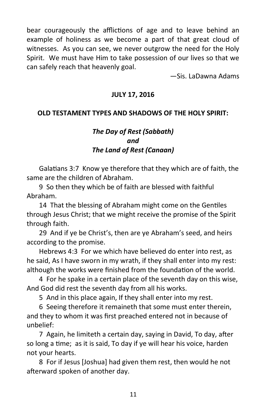bear courageously the afflictions of age and to leave behind an example of holiness as we become a part of that great cloud of witnesses. As you can see, we never outgrow the need for the Holy Spirit. We must have Him to take possession of our lives so that we can safely reach that heavenly goal.

—Sis. LaDawna Adams

# **JULY 17, 2016**

# **OLD TESTAMENT TYPES AND SHADOWS OF THE HOLY SPIRIT:**

# *The Day of Rest (Sabbath) and The Land of Rest (Canaan)*

Galatians 3:7 Know ye therefore that they which are of faith, the same are the children of Abraham.

9 So then they which be of faith are blessed with faithful Abraham.

14 That the blessing of Abraham might come on the Gentiles through Jesus Christ; that we might receive the promise of the Spirit through faith.

29 And if ye be Christ's, then are ye Abraham's seed, and heirs according to the promise.

Hebrews 4:3 For we which have believed do enter into rest, as he said, As I have sworn in my wrath, if they shall enter into my rest: although the works were finished from the foundation of the world.

4 For he spake in a certain place of the seventh day on this wise, And God did rest the seventh day from all his works.

5 And in this place again, If they shall enter into my rest.

6 Seeing therefore it remaineth that some must enter therein, and they to whom it was first preached entered not in because of unbelief:

7 Again, he limiteth a certain day, saying in David, To day, after so long a time; as it is said, To day if ye will hear his voice, harden not your hearts.

8 For if Jesus [Joshua] had given them rest, then would he not afterward spoken of another day.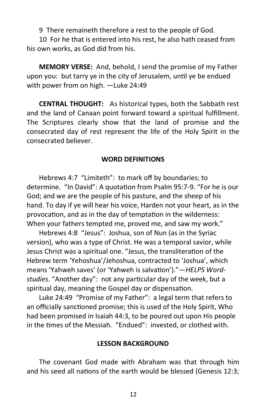9 There remaineth therefore a rest to the people of God.

10 For he that is entered into his rest, he also hath ceased from his own works, as God did from his.

**MEMORY VERSE:** And, behold, I send the promise of my Father upon you: but tarry ye in the city of Jerusalem, until ye be endued with power from on high. —Luke 24:49

**CENTRAL THOUGHT:** As historical types, both the Sabbath rest and the land of Canaan point forward toward a spiritual fulfillment. The Scriptures clearly show that the land of promise and the consecrated day of rest represent the life of the Holy Spirit in the consecrated believer.

#### **WORD DEFINITIONS**

Hebrews 4:7 "Limiteth": to mark off by boundaries; to determine. "In David": A quotation from Psalm 95:7-9. "For he is our God; and we are the people of his pasture, and the sheep of his hand. To day if ye will hear his voice, Harden not your heart, as in the provocation, and as in the day of temptation in the wilderness: When your fathers tempted me, proved me, and saw my work."

Hebrews 4:8 "Jesus": Joshua, son of Nun (as in the Syriac version), who was a type of Christ. He was a temporal savior, while Jesus Christ was a spiritual one. "Jesus, the transliteration of the Hebrew term 'Yehoshua'/Jehoshua, contracted to 'Joshua', which means 'Yahweh saves' (or 'Yahweh is salvation')."—*HELPS Wordstudies*. "Another day": not any particular day of the week, but a spiritual day, meaning the Gospel day or dispensation.

Luke 24:49 "Promise of my Father": a legal term that refers to an officially sanctioned promise; this is used of the Holy Spirit, Who had been promised in Isaiah 44:3, to be poured out upon His people in the times of the Messiah. "Endued": invested, or clothed with.

#### **LESSON BACKGROUND**

The covenant God made with Abraham was that through him and his seed all nations of the earth would be blessed (Genesis 12:3;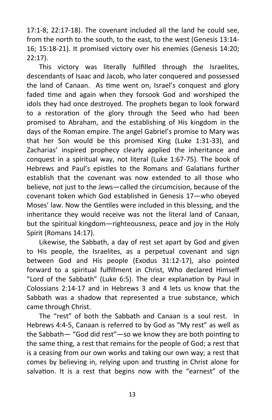17:1-8; 22:17-18). The covenant included all the land he could see, from the north to the south, to the east, to the west (Genesis 13:14- 16; 15:18-21). It promised victory over his enemies (Genesis 14:20; 22:17).

This victory was literally fulfilled through the Israelites, descendants of Isaac and Jacob, who later conquered and possessed the land of Canaan. As time went on, Israel's conquest and glory faded time and again when they forsook God and worshiped the idols they had once destroyed. The prophets began to look forward to a restoration of the glory through the Seed who had been promised to Abraham, and the establishing of His kingdom in the days of the Roman empire. The angel Gabriel's promise to Mary was that her Son would be this promised King (Luke 1:31-33), and Zacharias' inspired prophecy clearly applied the inheritance and conquest in a spiritual way, not literal (Luke 1:67-75). The book of Hebrews and Paul's epistles to the Romans and Galatians further establish that the covenant was now extended to all those who believe, not just to the Jews—called the circumcision, because of the covenant token which God established in Genesis 17—who obeyed Moses' law. Now the Gentiles were included in this blessing, and the inheritance they would receive was not the literal land of Canaan, but the spiritual kingdom—righteousness, peace and joy in the Holy Spirit (Romans 14:17).

Likewise, the Sabbath, a day of rest set apart by God and given to His people, the Israelites, as a perpetual covenant and sign between God and His people (Exodus 31:12-17), also pointed forward to a spiritual fulfillment in Christ, Who declared Himself "Lord of the Sabbath" (Luke 6:5). The clear explanation by Paul in Colossians 2:14-17 and in Hebrews 3 and 4 lets us know that the Sabbath was a shadow that represented a true substance, which came through Christ.

The "rest" of both the Sabbath and Canaan is a soul rest. In Hebrews 4:4-5, Canaan is referred to by God as "My rest" as well as the Sabbath— "God did rest"—so we know they are both pointing to the same thing, a rest that remains for the people of God; a rest that is a ceasing from our own works and taking our own way; a rest that comes by believing in, relying upon and trusting in Christ alone for salvation. It is a rest that begins now with the "earnest" of the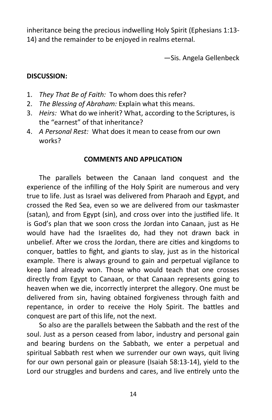inheritance being the precious indwelling Holy Spirit (Ephesians 1:13- 14) and the remainder to be enjoyed in realms eternal.

—Sis. Angela Gellenbeck

# **DISCUSSION:**

- 1. *They That Be of Faith:* To whom does this refer?
- 2. *The Blessing of Abraham:* Explain what this means.
- 3. *Heirs:* What do we inherit? What, according to the Scriptures, is the "earnest" of that inheritance?
- 4. *A Personal Rest:* What does it mean to cease from our own works?

# **COMMENTS AND APPLICATION**

The parallels between the Canaan land conquest and the experience of the infilling of the Holy Spirit are numerous and very true to life. Just as Israel was delivered from Pharaoh and Egypt, and crossed the Red Sea, even so we are delivered from our taskmaster (satan), and from Egypt (sin), and cross over into the justified life. It is God's plan that we soon cross the Jordan into Canaan, just as He would have had the Israelites do, had they not drawn back in unbelief. After we cross the Jordan, there are cities and kingdoms to conquer, battles to fight, and giants to slay, just as in the historical example. There is always ground to gain and perpetual vigilance to keep land already won. Those who would teach that one crosses directly from Egypt to Canaan, or that Canaan represents going to heaven when we die, incorrectly interpret the allegory. One must be delivered from sin, having obtained forgiveness through faith and repentance, in order to receive the Holy Spirit. The battles and conquest are part of this life, not the next.

So also are the parallels between the Sabbath and the rest of the soul. Just as a person ceased from labor, industry and personal gain and bearing burdens on the Sabbath, we enter a perpetual and spiritual Sabbath rest when we surrender our own ways, quit living for our own personal gain or pleasure (Isaiah 58:13-14), yield to the Lord our struggles and burdens and cares, and live entirely unto the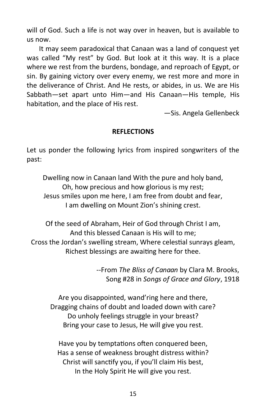will of God. Such a life is not way over in heaven, but is available to us now.

It may seem paradoxical that Canaan was a land of conquest yet was called "My rest" by God. But look at it this way. It is a place where we rest from the burdens, bondage, and reproach of Egypt, or sin. By gaining victory over every enemy, we rest more and more in the deliverance of Christ. And He rests, or abides, in us. We are His Sabbath—set apart unto Him—and His Canaan—His temple, His habitation, and the place of His rest.

—Sis. Angela Gellenbeck

# **REFLECTIONS**

Let us ponder the following lyrics from inspired songwriters of the past:

Dwelling now in Canaan land With the pure and holy band, Oh, how precious and how glorious is my rest; Jesus smiles upon me here, I am free from doubt and fear, I am dwelling on Mount Zion's shining crest.

Of the seed of Abraham, Heir of God through Christ I am, And this blessed Canaan is His will to me; Cross the Jordan's swelling stream, Where celestial sunrays gleam, Richest blessings are awaiting here for thee.

> --From *The Bliss of Canaan* by Clara M. Brooks, Song #28 in *Songs of Grace and Glory*, 1918

Are you disappointed, wand'ring here and there, Dragging chains of doubt and loaded down with care? Do unholy feelings struggle in your breast? Bring your case to Jesus, He will give you rest.

Have you by temptations often conquered been, Has a sense of weakness brought distress within? Christ will sanctify you, if you'll claim His best, In the Holy Spirit He will give you rest.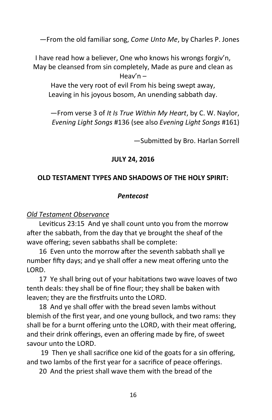—From the old familiar song, *Come Unto Me*, by Charles P. Jones

I have read how a believer, One who knows his wrongs forgiv'n, May be cleansed from sin completely, Made as pure and clean as Heav'n –

Have the very root of evil From his being swept away, Leaving in his joyous bosom, An unending sabbath day.

—From verse 3 of *It Is True Within My Heart*, by C. W. Naylor, *Evening Light Songs* #136 (see also *Evening Light Songs* #161)

—Submitted by Bro. Harlan Sorrell

# **JULY 24, 2016**

# **OLD TESTAMENT TYPES AND SHADOWS OF THE HOLY SPIRIT:**

# *Pentecost*

# *Old Testament Observance*

Leviticus 23:15 And ye shall count unto you from the morrow after the sabbath, from the day that ye brought the sheaf of the wave offering; seven sabbaths shall be complete:

16 Even unto the morrow after the seventh sabbath shall ye number fifty days; and ye shall offer a new meat offering unto the LORD.

17 Ye shall bring out of your habitations two wave loaves of two tenth deals: they shall be of fine flour; they shall be baken with leaven; they are the firstfruits unto the LORD.

18 And ye shall offer with the bread seven lambs without blemish of the first year, and one young bullock, and two rams: they shall be for a burnt offering unto the LORD, with their meat offering, and their drink offerings, even an offering made by fire, of sweet savour unto the LORD.

19 Then ye shall sacrifice one kid of the goats for a sin offering, and two lambs of the first year for a sacrifice of peace offerings.

20 And the priest shall wave them with the bread of the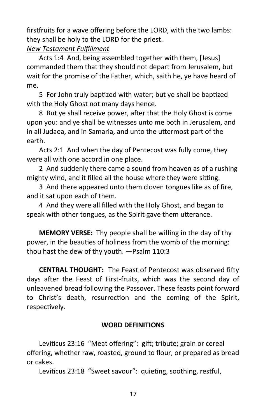firstfruits for a wave offering before the LORD, with the two lambs: they shall be holy to the LORD for the priest.

# *New Testament Fulfillment*

Acts 1:4 And, being assembled together with them, [Jesus] commanded them that they should not depart from Jerusalem, but wait for the promise of the Father, which, saith he, ye have heard of me.

5 For John truly baptized with water; but ye shall be baptized with the Holy Ghost not many days hence.

8 But ye shall receive power, after that the Holy Ghost is come upon you: and ye shall be witnesses unto me both in Jerusalem, and in all Judaea, and in Samaria, and unto the uttermost part of the earth.

Acts 2:1 And when the day of Pentecost was fully come, they were all with one accord in one place.

2 And suddenly there came a sound from heaven as of a rushing mighty wind, and it filled all the house where they were sitting.

3 And there appeared unto them cloven tongues like as of fire, and it sat upon each of them.

4 And they were all filled with the Holy Ghost, and began to speak with other tongues, as the Spirit gave them utterance.

**MEMORY VERSE:** Thy people shall be willing in the day of thy power, in the beauties of holiness from the womb of the morning: thou hast the dew of thy youth. —Psalm 110:3

**CENTRAL THOUGHT:** The Feast of Pentecost was observed fifty days after the Feast of First-fruits, which was the second day of unleavened bread following the Passover. These feasts point forward to Christ's death, resurrection and the coming of the Spirit, respectively.

# **WORD DEFINITIONS**

Leviticus 23:16 "Meat offering": gift; tribute; grain or cereal offering, whether raw, roasted, ground to flour, or prepared as bread or cakes.

Leviticus 23:18 "Sweet savour": quieting, soothing, restful,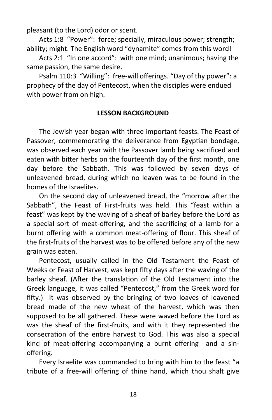pleasant (to the Lord) odor or scent.

Acts 1:8 "Power": force; specially, miraculous power; strength; ability; might. The English word "dynamite" comes from this word!

Acts 2:1 "In one accord": with one mind; unanimous; having the same passion, the same desire.

Psalm 110:3 "Willing": free-will offerings. "Day of thy power": a prophecy of the day of Pentecost, when the disciples were endued with power from on high.

#### **LESSON BACKGROUND**

The Jewish year began with three important feasts. The Feast of Passover, commemorating the deliverance from Egyptian bondage, was observed each year with the Passover lamb being sacrificed and eaten with bitter herbs on the fourteenth day of the first month, one day before the Sabbath. This was followed by seven days of unleavened bread, during which no leaven was to be found in the homes of the Israelites.

On the second day of unleavened bread, the "morrow after the Sabbath", the Feast of First-fruits was held. This "feast within a feast" was kept by the waving of a sheaf of barley before the Lord as a special sort of meat-offering, and the sacrificing of a lamb for a burnt offering with a common meat-offering of flour. This sheaf of the first-fruits of the harvest was to be offered before any of the new grain was eaten.

Pentecost, usually called in the Old Testament the Feast of Weeks or Feast of Harvest, was kept fifty days after the waving of the barley sheaf. (After the translation of the Old Testament into the Greek language, it was called "Pentecost," from the Greek word for fifty.) It was observed by the bringing of two loaves of leavened bread made of the new wheat of the harvest, which was then supposed to be all gathered. These were waved before the Lord as was the sheaf of the first-fruits, and with it they represented the consecration of the entire harvest to God. This was also a special kind of meat-offering accompanying a burnt offering and a sinoffering.

Every Israelite was commanded to bring with him to the feast "a tribute of a free-will offering of thine hand, which thou shalt give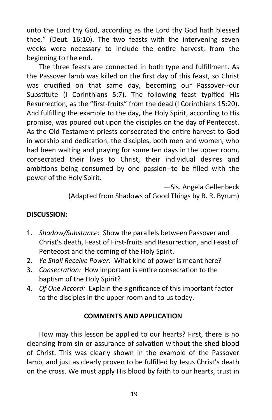unto the Lord thy God, according as the Lord thy God hath blessed thee." (Deut. 16:10). The two feasts with the intervening seven weeks were necessary to include the entire harvest, from the beginning to the end.

The three feasts are connected in both type and fulfillment. As the Passover lamb was killed on the first day of this feast, so Christ was crucified on that same day, becoming our Passover--our Substitute (I Corinthians 5:7). The following feast typified His Resurrection, as the "first-fruits" from the dead (I Corinthians 15:20). And fulfilling the example to the day, the Holy Spirit, according to His promise, was poured out upon the disciples on the day of Pentecost. As the Old Testament priests consecrated the entire harvest to God in worship and dedication, the disciples, both men and women, who had been waiting and praying for some ten days in the upper room, consecrated their lives to Christ, their individual desires and ambitions being consumed by one passion--to be filled with the power of the Holy Spirit.

> —Sis. Angela Gellenbeck (Adapted from Shadows of Good Things by R. R. Byrum)

# **DISCUSSION:**

- 1. *Shadow/Substance:* Show the parallels between Passover and Christ's death, Feast of First-fruits and Resurrection, and Feast of Pentecost and the coming of the Holy Spirit.
- 2. *Ye Shall Receive Power:* What kind of power is meant here?
- 3. *Consecration:* How important is entire consecration to the baptism of the Holy Spirit?
- 4. *Of One Accord:* Explain the significance of this important factor to the disciples in the upper room and to us today.

# **COMMENTS AND APPLICATION**

How may this lesson be applied to our hearts? First, there is no cleansing from sin or assurance of salvation without the shed blood of Christ. This was clearly shown in the example of the Passover lamb, and just as clearly proven to be fulfilled by Jesus Christ's death on the cross. We must apply His blood by faith to our hearts, trust in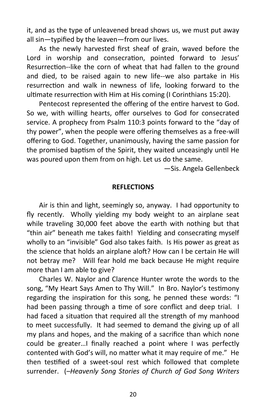it, and as the type of unleavened bread shows us, we must put away all sin—typified by the leaven—from our lives.

As the newly harvested first sheaf of grain, waved before the Lord in worship and consecration, pointed forward to Jesus' Resurrection--like the corn of wheat that had fallen to the ground and died, to be raised again to new life--we also partake in His resurrection and walk in newness of life, looking forward to the ultimate resurrection with Him at His coming (I Corinthians 15:20).

Pentecost represented the offering of the entire harvest to God. So we, with willing hearts, offer ourselves to God for consecrated service. A prophecy from Psalm 110:3 points forward to the "day of thy power", when the people were offering themselves as a free-will offering to God. Together, unanimously, having the same passion for the promised baptism of the Spirit, they waited unceasingly until He was poured upon them from on high. Let us do the same.

—Sis. Angela Gellenbeck

#### **REFLECTIONS**

Air is thin and light, seemingly so, anyway. I had opportunity to fly recently. Wholly yielding my body weight to an airplane seat while traveling 30,000 feet above the earth with nothing but that "thin air" beneath me takes faith! Yielding and consecrating myself wholly to an "invisible" God also takes faith. Is His power as great as the science that holds an airplane aloft? How can I be certain He will not betray me? Will fear hold me back because He might require more than I am able to give?

Charles W. Naylor and Clarence Hunter wrote the words to the song, "My Heart Says Amen to Thy Will." In Bro. Naylor's testimony regarding the inspiration for this song, he penned these words: "I had been passing through a time of sore conflict and deep trial. I had faced a situation that required all the strength of my manhood to meet successfully. It had seemed to demand the giving up of all my plans and hopes, and the making of a sacrifice than which none could be greater…I finally reached a point where I was perfectly contented with God's will, no matter what it may require of me." He then testified of a sweet-soul rest which followed that complete surrender. (–*Heavenly Song Stories of Church of God Song Writers*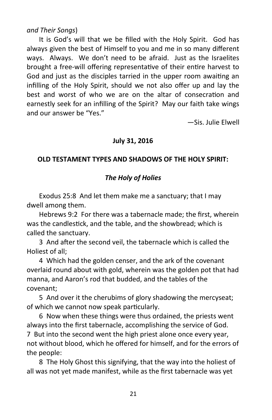# *and Their Songs*)

It is God's will that we be filled with the Holy Spirit. God has always given the best of Himself to you and me in so many different ways. Always. We don't need to be afraid. Just as the Israelites brought a free-will offering representative of their entire harvest to God and just as the disciples tarried in the upper room awaiting an infilling of the Holy Spirit, should we not also offer up and lay the best and worst of who we are on the altar of consecration and earnestly seek for an infilling of the Spirit? May our faith take wings and our answer be "Yes."

—Sis. Julie Elwell

# **July 31, 2016**

# **OLD TESTAMENT TYPES AND SHADOWS OF THE HOLY SPIRIT:**

# *The Holy of Holies*

Exodus 25:8 And let them make me a sanctuary; that I may dwell among them.

Hebrews 9:2 For there was a tabernacle made; the first, wherein was the candlestick, and the table, and the showbread; which is called the sanctuary.

3 And after the second veil, the tabernacle which is called the Holiest of all;

4 Which had the golden censer, and the ark of the covenant overlaid round about with gold, wherein was the golden pot that had manna, and Aaron's rod that budded, and the tables of the covenant;

5 And over it the cherubims of glory shadowing the mercyseat; of which we cannot now speak particularly.

6 Now when these things were thus ordained, the priests went always into the first tabernacle, accomplishing the service of God. 7 But into the second went the high priest alone once every year, not without blood, which he offered for himself, and for the errors of the people:

8 The Holy Ghost this signifying, that the way into the holiest of all was not yet made manifest, while as the first tabernacle was yet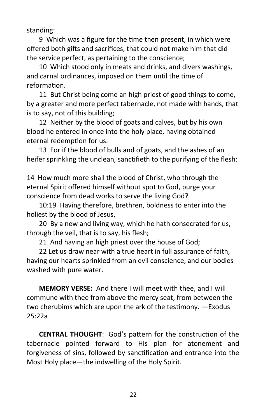standing:

9 Which was a figure for the time then present, in which were offered both gifts and sacrifices, that could not make him that did the service perfect, as pertaining to the conscience;

10 Which stood only in meats and drinks, and divers washings, and carnal ordinances, imposed on them until the time of reformation.

11 But Christ being come an high priest of good things to come, by a greater and more perfect tabernacle, not made with hands, that is to say, not of this building;

12 Neither by the blood of goats and calves, but by his own blood he entered in once into the holy place, having obtained eternal redemption for us.

13 For if the blood of bulls and of goats, and the ashes of an heifer sprinkling the unclean, sanctifieth to the purifying of the flesh:

14 How much more shall the blood of Christ, who through the eternal Spirit offered himself without spot to God, purge your conscience from dead works to serve the living God?

10:19 Having therefore, brethren, boldness to enter into the holiest by the blood of Jesus,

20 By a new and living way, which he hath consecrated for us, through the veil, that is to say, his flesh;

21 And having an high priest over the house of God;

22 Let us draw near with a true heart in full assurance of faith, having our hearts sprinkled from an evil conscience, and our bodies washed with pure water.

**MEMORY VERSE:** And there I will meet with thee, and I will commune with thee from above the mercy seat, from between the two cherubims which are upon the ark of the testimony. —Exodus 25:22a

**CENTRAL THOUGHT**: God's pattern for the construction of the tabernacle pointed forward to His plan for atonement and forgiveness of sins, followed by sanctification and entrance into the Most Holy place—the indwelling of the Holy Spirit.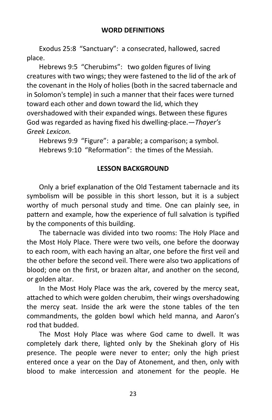#### **WORD DEFINITIONS**

Exodus 25:8 "Sanctuary": a consecrated, hallowed, sacred place.

Hebrews 9:5 "Cherubims": two golden figures of living creatures with two wings; they were fastened to the lid of the ark of the covenant in the Holy of holies (both in the sacred tabernacle and in Solomon's temple) in such a manner that their faces were turned toward each other and down toward the lid, which they overshadowed with their expanded wings. Between these figures God was regarded as having fixed his dwelling-place.—*Thayer's Greek Lexicon.*

Hebrews 9:9 "Figure": a parable; a comparison; a symbol. Hebrews 9:10 "Reformation": the times of the Messiah.

#### **LESSON BACKGROUND**

Only a brief explanation of the Old Testament tabernacle and its symbolism will be possible in this short lesson, but it is a subject worthy of much personal study and time. One can plainly see, in pattern and example, how the experience of full salvation is typified by the components of this building.

The tabernacle was divided into two rooms: The Holy Place and the Most Holy Place. There were two veils, one before the doorway to each room, with each having an altar, one before the first veil and the other before the second veil. There were also two applications of blood; one on the first, or brazen altar, and another on the second, or golden altar.

In the Most Holy Place was the ark, covered by the mercy seat, attached to which were golden cherubim, their wings overshadowing the mercy seat. Inside the ark were the stone tables of the ten commandments, the golden bowl which held manna, and Aaron's rod that budded.

The Most Holy Place was where God came to dwell. It was completely dark there, lighted only by the Shekinah glory of His presence. The people were never to enter; only the high priest entered once a year on the Day of Atonement, and then, only with blood to make intercession and atonement for the people. He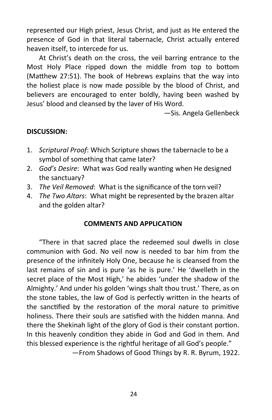represented our High priest, Jesus Christ, and just as He entered the presence of God in that literal tabernacle, Christ actually entered heaven itself, to intercede for us.

At Christ's death on the cross, the veil barring entrance to the Most Holy Place ripped down the middle from top to bottom (Matthew 27:51). The book of Hebrews explains that the way into the holiest place is now made possible by the blood of Christ, and believers are encouraged to enter boldly, having been washed by Jesus' blood and cleansed by the laver of His Word.

—Sis. Angela Gellenbeck

#### **DISCUSSION:**

- 1. *Scriptural Proof*: Which Scripture shows the tabernacle to be a symbol of something that came later?
- 2. *God's Desire*: What was God really wanting when He designed the sanctuary?
- 3. *The Veil Removed*: What is the significance of the torn veil?
- 4. *The Two Altars*: What might be represented by the brazen altar and the golden altar?

#### **COMMENTS AND APPLICATION**

"There in that sacred place the redeemed soul dwells in close communion with God. No veil now is needed to bar him from the presence of the infinitely Holy One, because he is cleansed from the last remains of sin and is pure 'as he is pure.' He 'dwelleth in the secret place of the Most High,' he abides 'under the shadow of the Almighty.' And under his golden 'wings shalt thou trust.' There, as on the stone tables, the law of God is perfectly written in the hearts of the sanctified by the restoration of the moral nature to primitive holiness. There their souls are satisfied with the hidden manna. And there the Shekinah light of the glory of God is their constant portion. In this heavenly condition they abide in God and God in them. And this blessed experience is the rightful heritage of all God's people."

—From Shadows of Good Things by R. R. Byrum, 1922.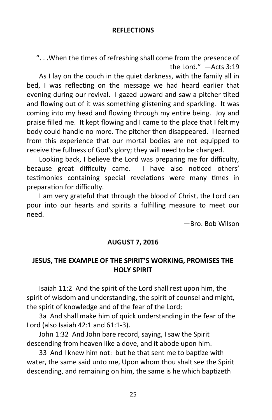#### **REFLECTIONS**

". . .When the times of refreshing shall come from the presence of the Lord." —Acts 3:19

As I lay on the couch in the quiet darkness, with the family all in bed, I was reflecting on the message we had heard earlier that evening during our revival. I gazed upward and saw a pitcher tilted and flowing out of it was something glistening and sparkling. It was coming into my head and flowing through my entire being. Joy and praise filled me. It kept flowing and I came to the place that I felt my body could handle no more. The pitcher then disappeared. I learned from this experience that our mortal bodies are not equipped to receive the fullness of God's glory; they will need to be changed.

Looking back, I believe the Lord was preparing me for difficulty, because great difficulty came. I have also noticed others' testimonies containing special revelations were many times in preparation for difficulty.

I am very grateful that through the blood of Christ, the Lord can pour into our hearts and spirits a fulfilling measure to meet our need.

—Bro. Bob Wilson

# **AUGUST 7, 2016**

# **JESUS, THE EXAMPLE OF THE SPIRIT'S WORKING, PROMISES THE HOLY SPIRIT**

Isaiah 11:2 And the spirit of the Lord shall rest upon him, the spirit of wisdom and understanding, the spirit of counsel and might, the spirit of knowledge and of the fear of the Lord;

3a And shall make him of quick understanding in the fear of the Lord (also Isaiah 42:1 and 61:1-3).

John 1:32 And John bare record, saying, I saw the Spirit descending from heaven like a dove, and it abode upon him.

33 And I knew him not: but he that sent me to baptize with water, the same said unto me, Upon whom thou shalt see the Spirit descending, and remaining on him, the same is he which baptizeth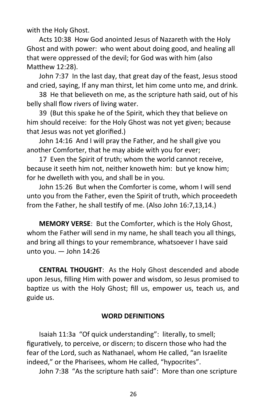with the Holy Ghost.

Acts 10:38 How God anointed Jesus of Nazareth with the Holy Ghost and with power: who went about doing good, and healing all that were oppressed of the devil; for God was with him (also Matthew 12:28).

John 7:37 In the last day, that great day of the feast, Jesus stood and cried, saying, If any man thirst, let him come unto me, and drink.

38 He that believeth on me, as the scripture hath said, out of his belly shall flow rivers of living water.

39 (But this spake he of the Spirit, which they that believe on him should receive: for the Holy Ghost was not yet given; because that Jesus was not yet glorified.)

John 14:16 And I will pray the Father, and he shall give you another Comforter, that he may abide with you for ever;

17 Even the Spirit of truth; whom the world cannot receive, because it seeth him not, neither knoweth him: but ye know him; for he dwelleth with you, and shall be in you.

John 15:26 But when the Comforter is come, whom I will send unto you from the Father, even the Spirit of truth, which proceedeth from the Father, he shall testify of me. (Also John 16:7,13,14.)

**MEMORY VERSE**: But the Comforter, which is the Holy Ghost, whom the Father will send in my name, he shall teach you all things, and bring all things to your remembrance, whatsoever I have said unto you. — John 14:26

**CENTRAL THOUGHT**: As the Holy Ghost descended and abode upon Jesus, filling Him with power and wisdom, so Jesus promised to baptize us with the Holy Ghost; fill us, empower us, teach us, and guide us.

# **WORD DEFINITIONS**

Isaiah 11:3a "Of quick understanding": literally, to smell; figuratively, to perceive, or discern; to discern those who had the fear of the Lord, such as Nathanael, whom He called, "an Israelite indeed," or the Pharisees, whom He called, "hypocrites".

John 7:38 "As the scripture hath said": More than one scripture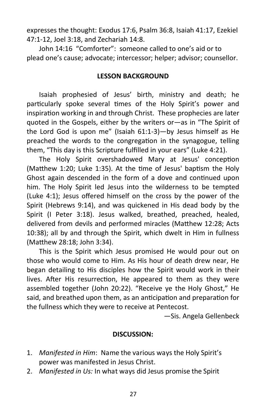expresses the thought: Exodus 17:6, Psalm 36:8, Isaiah 41:17, Ezekiel 47:1-12, Joel 3:18, and Zechariah 14:8.

John 14:16 "Comforter": someone called to one's aid or to plead one's cause; advocate; intercessor; helper; advisor; counsellor.

#### **LESSON BACKGROUND**

Isaiah prophesied of Jesus' birth, ministry and death; he particularly spoke several times of the Holy Spirit's power and inspiration working in and through Christ. These prophecies are later quoted in the Gospels, either by the writers or—as in "The Spirit of the Lord God is upon me" (Isaiah 61:1-3)—by Jesus himself as He preached the words to the congregation in the synagogue, telling them, "This day is this Scripture fulfilled in your ears" (Luke 4:21).

The Holy Spirit overshadowed Mary at Jesus' conception (Matthew 1:20; Luke 1:35). At the time of Jesus' baptism the Holy Ghost again descended in the form of a dove and continued upon him. The Holy Spirit led Jesus into the wilderness to be tempted (Luke 4:1); Jesus offered himself on the cross by the power of the Spirit (Hebrews 9:14), and was quickened in His dead body by the Spirit (I Peter 3:18). Jesus walked, breathed, preached, healed, delivered from devils and performed miracles (Matthew 12:28; Acts 10:38); all by and through the Spirit, which dwelt in Him in fullness (Matthew 28:18; John 3:34).

This is the Spirit which Jesus promised He would pour out on those who would come to Him. As His hour of death drew near, He began detailing to His disciples how the Spirit would work in their lives. After His resurrection, He appeared to them as they were assembled together (John 20:22). "Receive ye the Holy Ghost," He said, and breathed upon them, as an anticipation and preparation for the fullness which they were to receive at Pentecost.

—Sis. Angela Gellenbeck

#### **DISCUSSION:**

- 1. *Manifested in Him*: Name the various ways the Holy Spirit's power was manifested in Jesus Christ.
- 2. *Manifested in Us:* In what ways did Jesus promise the Spirit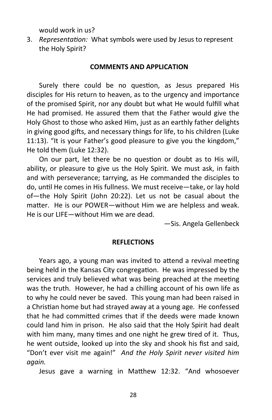would work in us?

3. *Representation:* What symbols were used by Jesus to represent the Holy Spirit?

#### **COMMENTS AND APPLICATION**

Surely there could be no question, as Jesus prepared His disciples for His return to heaven, as to the urgency and importance of the promised Spirit, nor any doubt but what He would fulfill what He had promised. He assured them that the Father would give the Holy Ghost to those who asked Him, just as an earthly father delights in giving good gifts, and necessary things for life, to his children (Luke 11:13). "It is your Father's good pleasure to give you the kingdom," He told them (Luke 12:32).

On our part, let there be no question or doubt as to His will, ability, or pleasure to give us the Holy Spirit. We must ask, in faith and with perseverance; tarrying, as He commanded the disciples to do, until He comes in His fullness. We must receive—take, or lay hold of—the Holy Spirit (John 20:22). Let us not be casual about the matter. He is our POWER—without Him we are helpless and weak. He is our LIFE—without Him we are dead.

—Sis. Angela Gellenbeck

#### **REFLECTIONS**

Years ago, a young man was invited to attend a revival meeting being held in the Kansas City congregation. He was impressed by the services and truly believed what was being preached at the meeting was the truth. However, he had a chilling account of his own life as to why he could never be saved. This young man had been raised in a Christian home but had strayed away at a young age. He confessed that he had committed crimes that if the deeds were made known could land him in prison. He also said that the Holy Spirit had dealt with him many, many times and one night he grew tired of it. Thus, he went outside, looked up into the sky and shook his fist and said, "Don't ever visit me again!" *And the Holy Spirit never visited him again.* 

Jesus gave a warning in Matthew 12:32. "And whosoever

28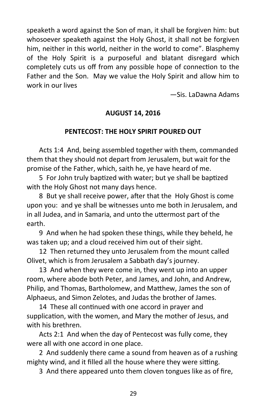speaketh a word against the Son of man, it shall be forgiven him: but whosoever speaketh against the Holy Ghost, it shall not be forgiven him, neither in this world, neither in the world to come". Blasphemy of the Holy Spirit is a purposeful and blatant disregard which completely cuts us off from any possible hope of connection to the Father and the Son. May we value the Holy Spirit and allow him to work in our lives

—Sis. LaDawna Adams

# **AUGUST 14, 2016**

#### **PENTECOST: THE HOLY SPIRIT POURED OUT**

Acts 1:4 And, being assembled together with them, commanded them that they should not depart from Jerusalem, but wait for the promise of the Father, which, saith he, ye have heard of me.

5 For John truly baptized with water; but ye shall be baptized with the Holy Ghost not many days hence.

8 But ye shall receive power, after that the Holy Ghost is come upon you: and ye shall be witnesses unto me both in Jerusalem, and in all Judea, and in Samaria, and unto the uttermost part of the earth.

9 And when he had spoken these things, while they beheld, he was taken up; and a cloud received him out of their sight.

12 Then returned they unto Jerusalem from the mount called Olivet, which is from Jerusalem a Sabbath day's journey.

13 And when they were come in, they went up into an upper room, where abode both Peter, and James, and John, and Andrew, Philip, and Thomas, Bartholomew, and Matthew, James the son of Alphaeus, and Simon Zelotes, and Judas the brother of James.

14 These all continued with one accord in prayer and supplication, with the women, and Mary the mother of Jesus, and with his brethren.

Acts 2:1 And when the day of Pentecost was fully come, they were all with one accord in one place.

2 And suddenly there came a sound from heaven as of a rushing mighty wind, and it filled all the house where they were sitting.

3 And there appeared unto them cloven tongues like as of fire,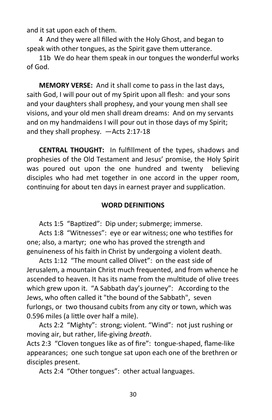and it sat upon each of them.

4 And they were all filled with the Holy Ghost, and began to speak with other tongues, as the Spirit gave them utterance.

11b We do hear them speak in our tongues the wonderful works of God.

**MEMORY VERSE:** And it shall come to pass in the last days, saith God, I will pour out of my Spirit upon all flesh: and your sons and your daughters shall prophesy, and your young men shall see visions, and your old men shall dream dreams: And on my servants and on my handmaidens I will pour out in those days of my Spirit; and they shall prophesy. —Acts 2:17-18

**CENTRAL THOUGHT:** In fulfillment of the types, shadows and prophesies of the Old Testament and Jesus' promise, the Holy Spirit was poured out upon the one hundred and twenty believing disciples who had met together in one accord in the upper room, continuing for about ten days in earnest prayer and supplication.

#### **WORD DEFINITIONS**

Acts 1:5 "Baptized": Dip under; submerge; immerse.

Acts 1:8 "Witnesses": eye or ear witness; one who testifies for one; also, a martyr; one who has proved the strength and genuineness of his faith in Christ by undergoing a violent death.

Acts 1:12 "The mount called Olivet": on the east side of Jerusalem, a mountain Christ much frequented, and from whence he ascended to heaven. It has its name from the multitude of olive trees which grew upon it. "A Sabbath day's journey": According to the Jews, who often called it "the bound of the Sabbath", seven furlongs, or two thousand cubits from any city or town, which was 0.596 miles (a little over half a mile).

Acts 2:2 "Mighty": strong; violent. "Wind": not just rushing or moving air, but rather, life-giving *breath*.

Acts 2:3 "Cloven tongues like as of fire": tongue-shaped, flame-like appearances; one such tongue sat upon each one of the brethren or disciples present.

Acts 2:4 "Other tongues": other actual languages.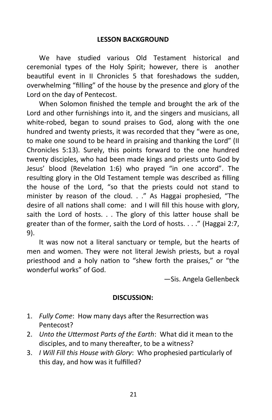#### **LESSON BACKGROUND**

We have studied various Old Testament historical and ceremonial types of the Holy Spirit; however, there is another beautiful event in II Chronicles 5 that foreshadows the sudden, overwhelming "filling" of the house by the presence and glory of the Lord on the day of Pentecost.

When Solomon finished the temple and brought the ark of the Lord and other furnishings into it, and the singers and musicians, all white-robed, began to sound praises to God, along with the one hundred and twenty priests, it was recorded that they "were as one, to make one sound to be heard in praising and thanking the Lord" (II Chronicles 5:13). Surely, this points forward to the one hundred twenty disciples, who had been made kings and priests unto God by Jesus' blood (Revelation 1:6) who prayed "in one accord". The resulting glory in the Old Testament temple was described as filling the house of the Lord, "so that the priests could not stand to minister by reason of the cloud. . ." As Haggai prophesied, "The desire of all nations shall come: and I will fill this house with glory, saith the Lord of hosts. . . The glory of this latter house shall be greater than of the former, saith the Lord of hosts. . . ." (Haggai 2:7, 9).

It was now not a literal sanctuary or temple, but the hearts of men and women. They were not literal Jewish priests, but a royal priesthood and a holy nation to "shew forth the praises," or "the wonderful works" of God.

—Sis. Angela Gellenbeck

#### **DISCUSSION:**

- 1. *Fully Come*: How many days after the Resurrection was Pentecost?
- 2. *Unto the Uttermost Parts of the Earth*: What did it mean to the disciples, and to many thereafter, to be a witness?
- 3. *I Will Fill this House with Glory*: Who prophesied particularly of this day, and how was it fulfilled?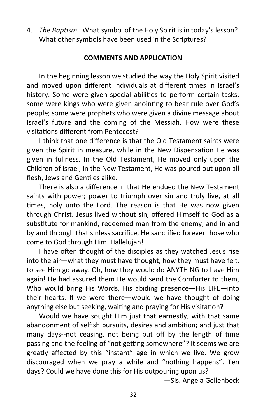4. *The Baptism*: What symbol of the Holy Spirit is in today's lesson? What other symbols have been used in the Scriptures?

#### **COMMENTS AND APPLICATION**

In the beginning lesson we studied the way the Holy Spirit visited and moved upon different individuals at different times in Israel's history. Some were given special abilities to perform certain tasks; some were kings who were given anointing to bear rule over God's people; some were prophets who were given a divine message about Israel's future and the coming of the Messiah. How were these visitations different from Pentecost?

I think that one difference is that the Old Testament saints were given the Spirit in measure, while in the New Dispensation He was given in fullness. In the Old Testament, He moved only upon the Children of Israel; in the New Testament, He was poured out upon all flesh, Jews and Gentiles alike.

There is also a difference in that He endued the New Testament saints with power; power to triumph over sin and truly live, at all times, holy unto the Lord. The reason is that He was now given through Christ. Jesus lived without sin, offered Himself to God as a substitute for mankind, redeemed man from the enemy, and in and by and through that sinless sacrifice, He sanctified forever those who come to God through Him. Hallelujah!

I have often thought of the disciples as they watched Jesus rise into the air—what they must have thought, how they must have felt, to see Him go away. Oh, how they would do ANYTHING to have Him again! He had assured them He would send the Comforter to them, Who would bring His Words, His abiding presence—His LIFE—into their hearts. If we were there—would we have thought of doing anything else but seeking, waiting and praying for His visitation?

Would we have sought Him just that earnestly, with that same abandonment of selfish pursuits, desires and ambition; and just that many days--not ceasing, not being put off by the length of time passing and the feeling of "not getting somewhere"? It seems we are greatly affected by this "instant" age in which we live. We grow discouraged when we pray a while and "nothing happens". Ten days? Could we have done this for His outpouring upon us?

—Sis. Angela Gellenbeck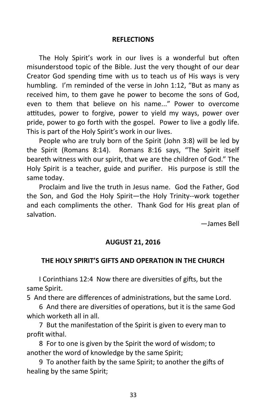#### **REFLECTIONS**

The Holy Spirit's work in our lives is a wonderful but often misunderstood topic of the Bible. Just the very thought of our dear Creator God spending time with us to teach us of His ways is very humbling. I'm reminded of the verse in John 1:12, "But as many as received him, to them gave he power to become the sons of God, even to them that believe on his name..." Power to overcome attitudes, power to forgive, power to yield my ways, power over pride, power to go forth with the gospel. Power to live a godly life. This is part of the Holy Spirit's work in our lives.

People who are truly born of the Spirit (John 3:8) will be led by the Spirit (Romans 8:14). Romans 8:16 says, "The Spirit itself beareth witness with our spirit, that we are the children of God." The Holy Spirit is a teacher, guide and purifier. His purpose is still the same today.

Proclaim and live the truth in Jesus name. God the Father, God the Son, and God the Holy Spirit—the Holy Trinity--work together and each compliments the other. Thank God for His great plan of salvation.

—James Bell

#### **AUGUST 21, 2016**

#### **THE HOLY SPIRIT'S GIFTS AND OPERATION IN THE CHURCH**

I Corinthians 12:4 Now there are diversities of gifts, but the same Spirit.

5 And there are differences of administrations, but the same Lord.

6 And there are diversities of operations, but it is the same God which worketh all in all.

7 But the manifestation of the Spirit is given to every man to profit withal.

8 For to one is given by the Spirit the word of wisdom; to another the word of knowledge by the same Spirit;

9 To another faith by the same Spirit; to another the gifts of healing by the same Spirit;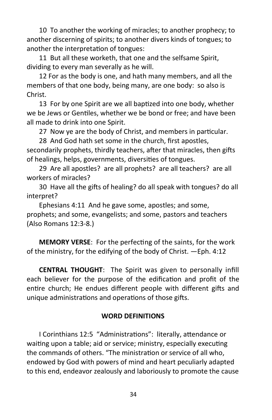10 To another the working of miracles; to another prophecy; to another discerning of spirits; to another divers kinds of tongues; to another the interpretation of tongues:

11 But all these worketh, that one and the selfsame Spirit, dividing to every man severally as he will.

12 For as the body is one, and hath many members, and all the members of that one body, being many, are one body: so also is Christ.

13 For by one Spirit are we all baptized into one body, whether we be Jews or Gentiles, whether we be bond or free; and have been all made to drink into one Spirit.

27 Now ye are the body of Christ, and members in particular.

28 And God hath set some in the church, first apostles, secondarily prophets, thirdly teachers, after that miracles, then gifts of healings, helps, governments, diversities of tongues.

29 Are all apostles? are all prophets? are all teachers? are all workers of miracles?

30 Have all the gifts of healing? do all speak with tongues? do all interpret?

Ephesians 4:11 And he gave some, apostles; and some, prophets; and some, evangelists; and some, pastors and teachers (Also Romans 12:3-8.)

**MEMORY VERSE**: For the perfecting of the saints, for the work of the ministry, for the edifying of the body of Christ. —Eph. 4:12

**CENTRAL THOUGHT**: The Spirit was given to personally infill each believer for the purpose of the edification and profit of the entire church; He endues different people with different gifts and unique administrations and operations of those gifts.

# **WORD DEFINITIONS**

I Corinthians 12:5 "Administrations": literally, attendance or waiting upon a table; aid or service; ministry, especially executing the commands of others. "The ministration or service of all who, endowed by God with powers of mind and heart peculiarly adapted to this end, endeavor zealously and laboriously to promote the cause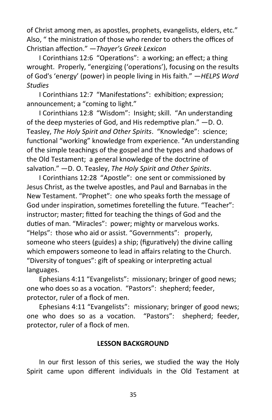of Christ among men, as apostles, prophets, evangelists, elders, etc." Also, " the ministration of those who render to others the offices of Christian affection." —*Thayer's Greek Lexicon*

I Corinthians 12:6 "Operations": a working; an effect; a thing wrought. Properly, "energizing ('operations'), focusing on the results of God's 'energy' (power) in people living in His faith." —*HELPS Word Studies*

I Corinthians 12:7 "Manifestations": exhibition; expression; announcement; a "coming to light."

I Corinthians 12:8 "Wisdom": Insight; skill. "An understanding of the deep mysteries of God, and His redemptive plan." —D. O. Teasley, *The Holy Spirit and Other Spirits*. "Knowledge": science; functional "working" knowledge from experience. "An understanding of the simple teachings of the gospel and the types and shadows of the Old Testament; a general knowledge of the doctrine of salvation." —D. O. Teasley, *The Holy Spirit and Other Spirits*.

I Corinthians 12:28 "Apostle": one sent or commissioned by Jesus Christ, as the twelve apostles, and Paul and Barnabas in the New Testament. "Prophet": one who speaks forth the message of God under inspiration, sometimes foretelling the future. "Teacher": instructor; master; fitted for teaching the things of God and the duties of man. "Miracles": power; mighty or marvelous works. "Helps": those who aid or assist. "Governments": properly, someone who steers (guides) a ship; (figuratively) the divine calling which empowers someone to lead in affairs relating to the Church. "Diversity of tongues": gift of speaking or interpreting actual languages.

Ephesians 4:11 "Evangelists": missionary; bringer of good news; one who does so as a vocation. "Pastors": shepherd; feeder, protector, ruler of a flock of men.

Ephesians 4:11 "Evangelists": missionary; bringer of good news; one who does so as a vocation. "Pastors": shepherd; feeder, protector, ruler of a flock of men.

#### **LESSON BACKGROUND**

In our first lesson of this series, we studied the way the Holy Spirit came upon different individuals in the Old Testament at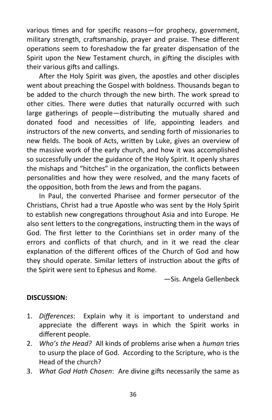various times and for specific reasons—for prophecy, government, military strength, craftsmanship, prayer and praise. These different operations seem to foreshadow the far greater dispensation of the Spirit upon the New Testament church, in gifting the disciples with their various gifts and callings.

After the Holy Spirit was given, the apostles and other disciples went about preaching the Gospel with boldness. Thousands began to be added to the church through the new birth. The work spread to other cities. There were duties that naturally occurred with such large gatherings of people—distributing the mutually shared and donated food and necessities of life, appointing leaders and instructors of the new converts, and sending forth of missionaries to new fields. The book of Acts, written by Luke, gives an overview of the massive work of the early church, and how it was accomplished so successfully under the guidance of the Holy Spirit. It openly shares the mishaps and "hitches" in the organization, the conflicts between personalities and how they were resolved, and the many facets of the opposition, both from the Jews and from the pagans.

In Paul, the converted Pharisee and former persecutor of the Christians, Christ had a true Apostle who was sent by the Holy Spirit to establish new congregations throughout Asia and into Europe. He also sent letters to the congregations, instructing them in the ways of God. The first letter to the Corinthians set in order many of the errors and conflicts of that church, and in it we read the clear explanation of the different offices of the Church of God and how they should operate. Similar letters of instruction about the gifts of the Spirit were sent to Ephesus and Rome.

—Sis. Angela Gellenbeck

# **DISCUSSION:**

- 1. *Differences*: Explain why it is important to understand and appreciate the different ways in which the Spirit works in different people.
- 2. *Who's the Head?* All kinds of problems arise when a *human* tries to usurp the place of God. According to the Scripture, who is the Head of the church?
- 3. *What God Hath Chosen*: Are divine gifts necessarily the same as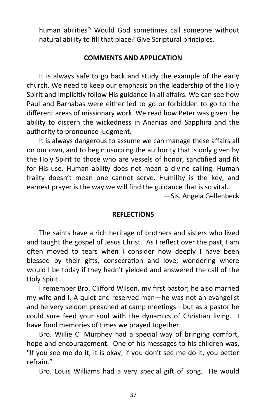human abilities? Would God sometimes call someone without natural ability to fill that place? Give Scriptural principles.

#### **COMMENTS AND APPLICATION**

It is always safe to go back and study the example of the early church. We need to keep our emphasis on the leadership of the Holy Spirit and implicitly follow His guidance in all affairs. We can see how Paul and Barnabas were either led to go or forbidden to go to the different areas of missionary work. We read how Peter was given the ability to discern the wickedness in Ananias and Sapphira and the authority to pronounce judgment.

It is always dangerous to assume we can manage these affairs all on our own, and to begin usurping the authority that is only given by the Holy Spirit to those who are vessels of honor, sanctified and fit for His use. Human ability does not mean a divine calling. Human frailty doesn't mean one cannot serve. Humility is the key, and earnest prayer is the way we will find the guidance that is so vital.

—Sis. Angela Gellenbeck

#### **REFLECTIONS**

The saints have a rich heritage of brothers and sisters who lived and taught the gospel of Jesus Christ. As I reflect over the past, I am often moved to tears when I consider how deeply I have been blessed by their gifts, consecration and love; wondering where would I be today if they hadn't yielded and answered the call of the Holy Spirit.

I remember Bro. Clifford Wilson, my first pastor; he also married my wife and I. A quiet and reserved man—he was not an evangelist and he very seldom preached at camp meetings—but as a pastor he could sure feed your soul with the dynamics of Christian living. I have fond memories of times we prayed together.

Bro. Willie C. Murphey had a special way of bringing comfort, hope and encouragement. One of his messages to his children was, "If you see me do it, it is okay; if you don't see me do it, you better refrain."

Bro. Louis Williams had a very special gift of song. He would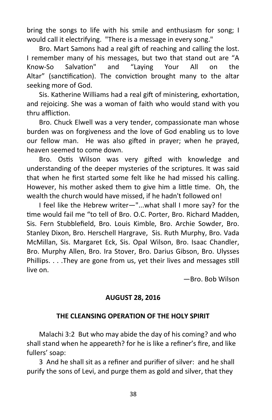bring the songs to life with his smile and enthusiasm for song; I would call it electrifying. "There is a message in every song."

Bro. Mart Samons had a real gift of reaching and calling the lost. I remember many of his messages, but two that stand out are "A Know-So Salvation" and "Laying Your All on the Altar" (sanctification). The conviction brought many to the altar seeking more of God.

Sis. Katherine Williams had a real gift of ministering, exhortation, and rejoicing. She was a woman of faith who would stand with you thru affliction.

Bro. Chuck Elwell was a very tender, compassionate man whose burden was on forgiveness and the love of God enabling us to love our fellow man. He was also gifted in prayer; when he prayed, heaven seemed to come down.

Bro. Ostis Wilson was very gifted with knowledge and understanding of the deeper mysteries of the scriptures. It was said that when he first started some felt like he had missed his calling. However, his mother asked them to give him a little time. Oh, the wealth the church would have missed, if he hadn't followed on!

I feel like the Hebrew writer—"...what shall I more say? for the time would fail me "to tell of Bro. O.C. Porter, Bro. Richard Madden, Sis. Fern Stubblefield, Bro. Louis Kimble, Bro. Archie Sowder, Bro. Stanley Dixon, Bro. Herschell Hargrave, Sis. Ruth Murphy, Bro. Vada McMillan, Sis. Margaret Eck, Sis. Opal Wilson, Bro. Isaac Chandler, Bro. Murphy Allen, Bro. Ira Stover, Bro. Darius Gibson, Bro. Ulysses Phillips. . . .They are gone from us, yet their lives and messages still live on.

—Bro. Bob Wilson

# **AUGUST 28, 2016**

# **THE CLEANSING OPERATION OF THE HOLY SPIRIT**

Malachi 3:2 But who may abide the day of his coming? and who shall stand when he appeareth? for he is like a refiner's fire, and like fullers' soap:

3 And he shall sit as a refiner and purifier of silver: and he shall purify the sons of Levi, and purge them as gold and silver, that they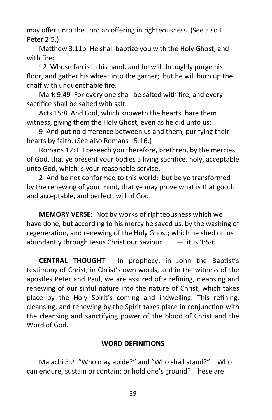may offer unto the Lord an offering in righteousness. (See also I Peter 2:5.)

Matthew 3:11b He shall baptize you with the Holy Ghost, and with fire:

12 Whose fan is in his hand, and he will throughly purge his floor, and gather his wheat into the garner; but he will burn up the chaff with unquenchable fire.

Mark 9:49 For every one shall be salted with fire, and every sacrifice shall be salted with salt.

Acts 15:8 And God, which knoweth the hearts, bare them witness, giving them the Holy Ghost, even as he did unto us;

9 And put no difference between us and them, purifying their hearts by faith. (See also Romans 15:16.)

Romans 12:1 I beseech you therefore, brethren, by the mercies of God, that ye present your bodies a living sacrifice, holy, acceptable unto God, which is your reasonable service.

2 And be not conformed to this world: but be ye transformed by the renewing of your mind, that ye may prove what is that good, and acceptable, and perfect, will of God.

**MEMORY VERSE**: Not by works of righteousness which we have done, but according to his mercy he saved us, by the washing of regeneration, and renewing of the Holy Ghost; which he shed on us abundantly through Jesus Christ our Saviour. . . . —Titus 3:5-6

**CENTRAL THOUGHT**: In prophecy, in John the Baptist's testimony of Christ, in Christ's own words, and in the witness of the apostles Peter and Paul, we are assured of a refining, cleansing and renewing of our sinful nature into the nature of Christ, which takes place by the Holy Spirit's coming and indwelling. This refining, cleansing, and renewing by the Spirit takes place in conjunction with the cleansing and sanctifying power of the blood of Christ and the Word of God.

# **WORD DEFINITIONS**

Malachi 3:2 "Who may abide?" and "Who shall stand?": Who can endure, sustain or contain; or hold one's ground? These are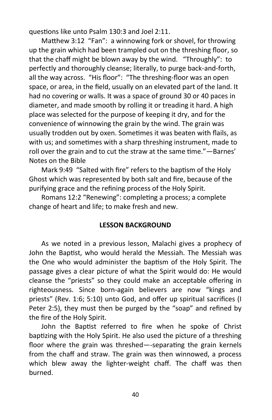questions like unto Psalm 130:3 and Joel 2:11.

Matthew 3:12 "Fan": a winnowing fork or shovel, for throwing up the grain which had been trampled out on the threshing floor, so that the chaff might be blown away by the wind. "Throughly": to perfectly and thoroughly cleanse; literally, to purge back-and-forth, all the way across. "His floor": "The threshing-floor was an open space, or area, in the field, usually on an elevated part of the land. It had no covering or walls. It was a space of ground 30 or 40 paces in diameter, and made smooth by rolling it or treading it hard. A high place was selected for the purpose of keeping it dry, and for the convenience of winnowing the grain by the wind. The grain was usually trodden out by oxen. Sometimes it was beaten with flails, as with us; and sometimes with a sharp threshing instrument, made to roll over the grain and to cut the straw at the same time."—Barnes' Notes on the Bible

Mark 9:49 "Salted with fire" refers to the baptism of the Holy Ghost which was represented by both salt and fire, because of the purifying grace and the refining process of the Holy Spirit.

Romans 12:2 "Renewing": completing a process; a complete change of heart and life; to make fresh and new.

# **LESSON BACKGROUND**

As we noted in a previous lesson, Malachi gives a prophecy of John the Baptist, who would herald the Messiah. The Messiah was the One who would administer the baptism of the Holy Spirit. The passage gives a clear picture of what the Spirit would do: He would cleanse the "priests" so they could make an acceptable offering in righteousness. Since born-again believers are now "kings and priests" (Rev. 1:6; 5:10) unto God, and offer up spiritual sacrifices (I Peter 2:5), they must then be purged by the "soap" and refined by the fire of the Holy Spirit.

John the Baptist referred to fire when he spoke of Christ baptizing with the Holy Spirit. He also used the picture of a threshing floor where the grain was threshed—-separating the grain kernels from the chaff and straw. The grain was then winnowed, a process which blew away the lighter-weight chaff. The chaff was then burned.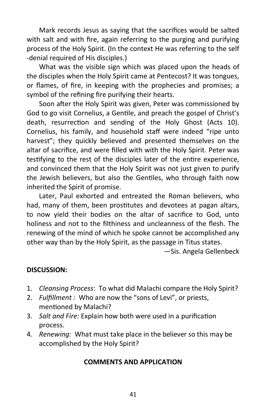Mark records Jesus as saying that the sacrifices would be salted with salt and with fire, again referring to the purging and purifying process of the Holy Spirit. (In the context He was referring to the self -denial required of His disciples.)

What was the visible sign which was placed upon the heads of the disciples when the Holy Spirit came at Pentecost? It was tongues, or flames, of fire, in keeping with the prophecies and promises; a symbol of the refining fire purifying their hearts.

Soon after the Holy Spirit was given, Peter was commissioned by God to go visit Cornelius, a Gentile, and preach the gospel of Christ's death, resurrection and sending of the Holy Ghost (Acts 10). Cornelius, his family, and household staff were indeed "ripe unto harvest"; they quickly believed and presented themselves on the altar of sacrifice, and were filled with with the Holy Spirit. Peter was testifying to the rest of the disciples later of the entire experience, and convinced them that the Holy Spirit was not just given to purify the Jewish believers, but also the Gentiles, who through faith now inherited the Spirit of promise.

Later, Paul exhorted and entreated the Roman believers, who had, many of them, been prostitutes and devotees at pagan altars, to now yield their bodies on the altar of sacrifice to God, unto holiness and not to the filthiness and uncleanness of the flesh. The renewing of the mind of which he spoke cannot be accomplished any other way than by the Holy Spirit, as the passage in Titus states.

—Sis. Angela Gellenbeck

# **DISCUSSION:**

- 1. *Cleansing Process*: To what did Malachi compare the Holy Spirit?
- 2. *Fulfillment :* Who are now the "sons of Levi", or priests, mentioned by Malachi?
- 3. *Salt and Fire:* Explain how both were used in a purification process.
- 4. *Renewing:* What must take place in the believer so this may be accomplished by the Holy Spirit?

# **COMMENTS AND APPLICATION**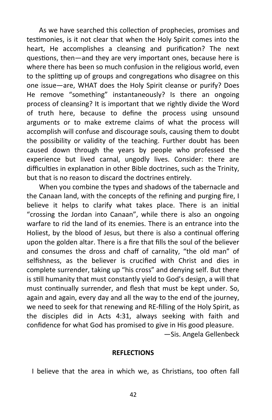As we have searched this collection of prophecies, promises and testimonies, is it not clear that when the Holy Spirit comes into the heart, He accomplishes a cleansing and purification? The next questions, then—and they are very important ones, because here is where there has been so much confusion in the religious world, even to the splitting up of groups and congregations who disagree on this one issue—are, WHAT does the Holy Spirit cleanse or purify? Does He remove "something" instantaneously? Is there an ongoing process of cleansing? It is important that we rightly divide the Word of truth here, because to define the process using unsound arguments or to make extreme claims of what the process will accomplish will confuse and discourage souls, causing them to doubt the possibility or validity of the teaching. Further doubt has been caused down through the years by people who professed the experience but lived carnal, ungodly lives. Consider: there are difficulties in explanation in other Bible doctrines, such as the Trinity, but that is no reason to discard the doctrines entirely.

When you combine the types and shadows of the tabernacle and the Canaan land, with the concepts of the refining and purging fire, I believe it helps to clarify what takes place. There is an initial "crossing the Jordan into Canaan", while there is also an ongoing warfare to rid the land of its enemies. There is an entrance into the Holiest, by the blood of Jesus, but there is also a continual offering upon the golden altar. There is a fire that fills the soul of the believer and consumes the dross and chaff of carnality, "the old man" of selfishness, as the believer is crucified with Christ and dies in complete surrender, taking up "his cross" and denying self. But there is still humanity that must constantly yield to God's design, a will that must continually surrender, and flesh that must be kept under. So, again and again, every day and all the way to the end of the journey, we need to seek for that renewing and RE-filling of the Holy Spirit, as the disciples did in Acts 4:31, always seeking with faith and confidence for what God has promised to give in His good pleasure.

—Sis. Angela Gellenbeck

#### **REFLECTIONS**

I believe that the area in which we, as Christians, too often fall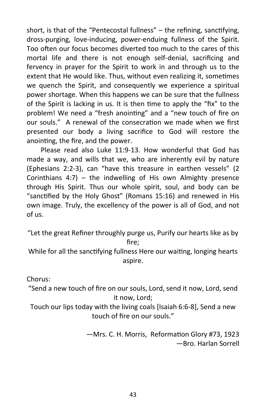short, is that of the "Pentecostal fullness" – the refining, sanctifying, dross-purging, love-inducing, power-enduing fullness of the Spirit. Too often our focus becomes diverted too much to the cares of this mortal life and there is not enough self-denial, sacrificing and fervency in prayer for the Spirit to work in and through us to the extent that He would like. Thus, without even realizing it, sometimes we quench the Spirit, and consequently we experience a spiritual power shortage. When this happens we can be sure that the fullness of the Spirit is lacking in us. It is then time to apply the "fix" to the problem! We need a "fresh anointing" and a "new touch of fire on our souls." A renewal of the consecration we made when we first presented our body a living sacrifice to God will restore the anointing, the fire, and the power.

Please read also Luke 11:9-13. How wonderful that God has made a way, and wills that we, who are inherently evil by nature (Ephesians 2:2-3), can "have this treasure in earthen vessels" (2 Corinthians  $4:7$ ) – the indwelling of His own Almighty presence through His Spirit. Thus our whole spirit, soul, and body can be "sanctified by the Holy Ghost" (Romans 15:16) and renewed in His own image. Truly, the excellency of the power is all of God, and not of us.

"Let the great Refiner throughly purge us, Purify our hearts like as by fire;

While for all the sanctifying fullness Here our waiting, longing hearts aspire.

Chorus:

"Send a new touch of fire on our souls, Lord, send it now, Lord, send it now, Lord;

Touch our lips today with the living coals [Isaiah 6:6-8], Send a new touch of fire on our souls."

> —Mrs. C. H. Morris, Reformation Glory #73, 1923 —Bro. Harlan Sorrell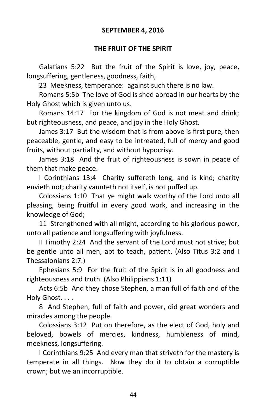#### **SEPTEMBER 4, 2016**

#### **THE FRUIT OF THE SPIRIT**

Galatians 5:22 But the fruit of the Spirit is love, joy, peace, longsuffering, gentleness, goodness, faith,

23 Meekness, temperance: against such there is no law.

Romans 5:5b The love of God is shed abroad in our hearts by the Holy Ghost which is given unto us.

Romans 14:17 For the kingdom of God is not meat and drink; but righteousness, and peace, and joy in the Holy Ghost.

James 3:17 But the wisdom that is from above is first pure, then peaceable, gentle, and easy to be intreated, full of mercy and good fruits, without partiality, and without hypocrisy.

James 3:18 And the fruit of righteousness is sown in peace of them that make peace.

I Corinthians 13:4 Charity suffereth long, and is kind; charity envieth not; charity vaunteth not itself, is not puffed up.

Colossians 1:10 That ye might walk worthy of the Lord unto all pleasing, being fruitful in every good work, and increasing in the knowledge of God;

11 Strengthened with all might, according to his glorious power, unto all patience and longsuffering with joyfulness.

II Timothy 2:24 And the servant of the Lord must not strive; but be gentle unto all men, apt to teach, patient. (Also Titus 3:2 and I Thessalonians 2:7.)

Ephesians 5:9 For the fruit of the Spirit is in all goodness and righteousness and truth. (Also Philippians 1:11)

Acts 6:5b And they chose Stephen, a man full of faith and of the Holy Ghost. . . .

8 And Stephen, full of faith and power, did great wonders and miracles among the people.

Colossians 3:12 Put on therefore, as the elect of God, holy and beloved, bowels of mercies, kindness, humbleness of mind, meekness, longsuffering.

I Corinthians 9:25 And every man that striveth for the mastery is temperate in all things. Now they do it to obtain a corruptible crown; but we an incorruptible.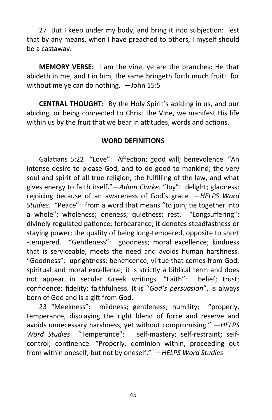27 But I keep under my body, and bring it into subjection: lest that by any means, when I have preached to others, I myself should be a castaway.

**MEMORY VERSE:** I am the vine, ye are the branches: He that abideth in me, and I in him, the same bringeth forth much fruit: for without me ye can do nothing. —John 15:5

**CENTRAL THOUGHT:** By the Holy Spirit's abiding in us, and our abiding, or being connected to Christ the Vine, we manifest His life within us by the fruit that we bear in attitudes, words and actions.

#### **WORD DEFINITIONS**

Galatians 5:22 "Love": Affection; good will; benevolence. "An intense desire to please God, and to do good to mankind; the very soul and spirit of all true religion; the fulfilling of the law, and what gives energy to faith itself."—*Adam Clarke*. "Joy": delight; gladness; rejoicing because of an awareness of God's grace. —*HELPS Word Studies.* "Peace": from a word that means "to join; tie together into a whole"; wholeness; oneness; quietness; rest. "Longsuffering": divinely regulated patience; forbearance; it denotes steadfastness or staying power; the quality of being long-tempered, opposite to short -tempered. "Gentleness": goodness; moral excellence; kindness that is serviceable, meets the need and avoids human harshness. "Goodness": uprightness; beneficence; virtue that comes from God; spiritual and moral excellence; it is strictly a biblical term and does not appear in secular Greek writings. "Faith": belief; trust; confidence; fidelity; faithfulness. It is "*God's persuasion*", is always born of God and is a gift from God.

23 "Meekness": mildness; gentleness; humility; "properly, temperance, displaying the right blend of force and reserve and avoids unnecessary harshness, yet without compromising." —*HELPS Word Studies* "Temperance": self-mastery; self-restraint; selfcontrol; continence. "Properly, dominion within, proceeding out from within oneself, but not by oneself." —*HELPS Word Studies*

45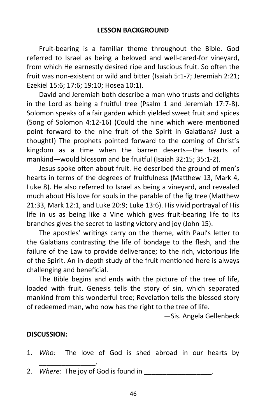Fruit-bearing is a familiar theme throughout the Bible. God referred to Israel as being a beloved and well-cared-for vineyard, from which He earnestly desired ripe and luscious fruit. So often the fruit was non-existent or wild and bitter (Isaiah 5:1-7; Jeremiah 2:21; Ezekiel 15:6; 17:6; 19:10; Hosea 10:1).

David and Jeremiah both describe a man who trusts and delights in the Lord as being a fruitful tree (Psalm 1 and Jeremiah 17:7-8). Solomon speaks of a fair garden which yielded sweet fruit and spices (Song of Solomon 4:12-16) (Could the nine which were mentioned point forward to the nine fruit of the Spirit in Galatians? Just a thought!) The prophets pointed forward to the coming of Christ's kingdom as a time when the barren deserts—the hearts of mankind—would blossom and be fruitful (Isaiah 32:15; 35:1-2).

Jesus spoke often about fruit. He described the ground of men's hearts in terms of the degrees of fruitfulness (Matthew 13, Mark 4, Luke 8). He also referred to Israel as being a vineyard, and revealed much about His love for souls in the parable of the fig tree (Matthew 21:33, Mark 12:1, and Luke 20:9; Luke 13:6). His vivid portrayal of His life in us as being like a Vine which gives fruit-bearing life to its branches gives the secret to lasting victory and joy (John 15).

The apostles' writings carry on the theme, with Paul's letter to the Galatians contrasting the life of bondage to the flesh, and the failure of the Law to provide deliverance; to the rich, victorious life of the Spirit. An in-depth study of the fruit mentioned here is always challenging and beneficial.

The Bible begins and ends with the picture of the tree of life, loaded with fruit. Genesis tells the story of sin, which separated mankind from this wonderful tree; Revelation tells the blessed story of redeemed man, who now has the right to the tree of life.

—Sis. Angela Gellenbeck

#### **DISCUSSION:**

\_\_\_\_\_\_\_\_\_\_\_\_\_\_\_.

1. *Who:* The love of God is shed abroad in our hearts by

2. *Where:* The joy of God is found in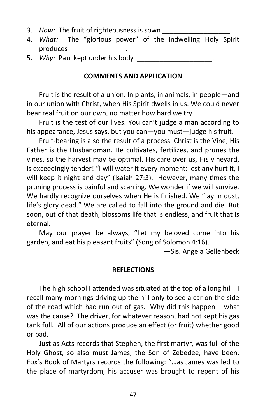- 3. *How:* The fruit of righteousness is sown
- 4. *What:* The "glorious power" of the indwelling Holy Spirit produces \_\_\_\_\_\_\_\_\_\_\_\_\_\_\_.
- 5. Why: Paul kept under his body

#### **COMMENTS AND APPLICATION**

Fruit is the result of a union. In plants, in animals, in people—and in our union with Christ, when His Spirit dwells in us. We could never bear real fruit on our own, no matter how hard we try.

Fruit is the test of our lives. You can't judge a man according to his appearance, Jesus says, but you can—you must—judge his fruit.

Fruit-bearing is also the result of a process. Christ is the Vine; His Father is the Husbandman. He cultivates, fertilizes, and prunes the vines, so the harvest may be optimal. His care over us, His vineyard, is exceedingly tender! "I will water it every moment: lest any hurt it, I will keep it night and day" (Isaiah 27:3). However, many times the pruning process is painful and scarring. We wonder if we will survive. We hardly recognize ourselves when He is finished. We "lay in dust, life's glory dead." We are called to fall into the ground and die. But soon, out of that death, blossoms life that is endless, and fruit that is eternal.

May our prayer be always, "Let my beloved come into his garden, and eat his pleasant fruits" (Song of Solomon 4:16).

—Sis. Angela Gellenbeck

#### **REFLECTIONS**

The high school I attended was situated at the top of a long hill. I recall many mornings driving up the hill only to see a car on the side of the road which had run out of gas. Why did this happen – what was the cause? The driver, for whatever reason, had not kept his gas tank full. All of our actions produce an effect (or fruit) whether good or bad.

Just as Acts records that Stephen, the first martyr, was full of the Holy Ghost, so also must James, the Son of Zebedee, have been. Fox's Book of Martyrs records the following: "…as James was led to the place of martyrdom, his accuser was brought to repent of his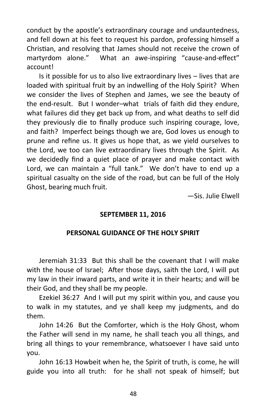conduct by the apostle's extraordinary courage and undauntedness, and fell down at his feet to request his pardon, professing himself a Christian, and resolving that James should not receive the crown of martyrdom alone." What an awe-inspiring "cause-and-effect" account!

Is it possible for us to also live extraordinary lives – lives that are loaded with spiritual fruit by an indwelling of the Holy Spirit? When we consider the lives of Stephen and James, we see the beauty of the end-result. But I wonder–what trials of faith did they endure, what failures did they get back up from, and what deaths to self did they previously die to finally produce such inspiring courage, love, and faith? Imperfect beings though we are, God loves us enough to prune and refine us. It gives us hope that, as we yield ourselves to the Lord, we too can live extraordinary lives through the Spirit. As we decidedly find a quiet place of prayer and make contact with Lord, we can maintain a "full tank." We don't have to end up a spiritual casualty on the side of the road, but can be full of the Holy Ghost, bearing much fruit.

—Sis. Julie Elwell

# **SEPTEMBER 11, 2016**

# **PERSONAL GUIDANCE OF THE HOLY SPIRIT**

Jeremiah 31:33 But this shall be the covenant that I will make with the house of Israel; After those days, saith the Lord, I will put my law in their inward parts, and write it in their hearts; and will be their God, and they shall be my people.

Ezekiel 36:27 And I will put my spirit within you, and cause you to walk in my statutes, and ye shall keep my judgments, and do them.

John 14:26 But the Comforter, which is the Holy Ghost, whom the Father will send in my name, he shall teach you all things, and bring all things to your remembrance, whatsoever I have said unto you.

John 16:13 Howbeit when he, the Spirit of truth, is come, he will guide you into all truth: for he shall not speak of himself; but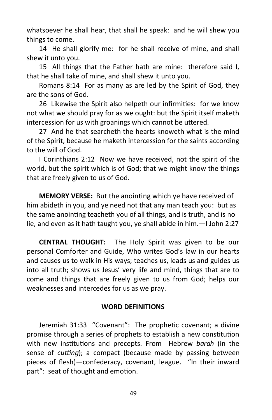whatsoever he shall hear, that shall he speak: and he will shew you things to come.

14 He shall glorify me: for he shall receive of mine, and shall shew it unto you.

15 All things that the Father hath are mine: therefore said I, that he shall take of mine, and shall shew it unto you.

Romans 8:14 For as many as are led by the Spirit of God, they are the sons of God.

26 Likewise the Spirit also helpeth our infirmities: for we know not what we should pray for as we ought: but the Spirit itself maketh intercession for us with groanings which cannot be uttered.

27 And he that searcheth the hearts knoweth what is the mind of the Spirit, because he maketh intercession for the saints according to the will of God.

I Corinthians 2:12 Now we have received, not the spirit of the world, but the spirit which is of God; that we might know the things that are freely given to us of God.

**MEMORY VERSE:** But the anointing which ye have received of him abideth in you, and ye need not that any man teach you: but as the same anointing teacheth you of all things, and is truth, and is no lie, and even as it hath taught you, ye shall abide in him.—I John 2:27

**CENTRAL THOUGHT:** The Holy Spirit was given to be our personal Comforter and Guide, Who writes God's law in our hearts and causes us to walk in His ways; teaches us, leads us and guides us into all truth; shows us Jesus' very life and mind, things that are to come and things that are freely given to us from God; helps our weaknesses and intercedes for us as we pray.

#### **WORD DEFINITIONS**

Jeremiah 31:33 "Covenant": The prophetic covenant; a divine promise through a series of prophets to establish a new constitution with new institutions and precepts. From Hebrew *barah* (in the sense of *cutting*); a compact (because made by passing between pieces of flesh)—confederacy, covenant, league. "In their inward part": seat of thought and emotion.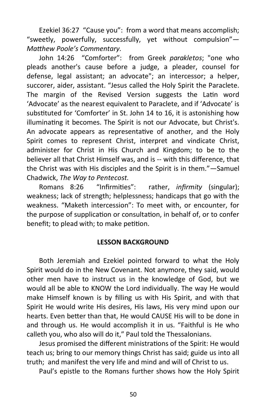Ezekiel 36:27 "Cause you": from a word that means accomplish; "sweetly, powerfully, successfully, yet without compulsion"— *Matthew Poole's Commentary.*

John 14:26 "Comforter": from Greek *parakletos*; "one who pleads another's cause before a judge, a pleader, counsel for defense, legal assistant; an advocate"; an intercessor; a helper, succorer, aider, assistant. "Jesus called the Holy Spirit the Paraclete. The margin of the Revised Version suggests the Latin word 'Advocate' as the nearest equivalent to Paraclete, and if 'Advocate' is substituted for 'Comforter' in St. John 14 to 16, it is astonishing how illuminating it becomes. The Spirit is not our Advocate, but Christ's. An advocate appears as representative of another, and the Holy Spirit comes to represent Christ, interpret and vindicate Christ, administer for Christ in His Church and Kingdom; to be to the believer all that Christ Himself was, and is -- with this difference, that the Christ was with His disciples and the Spirit is in them."—Samuel Chadwick, *The Way to Pentecost.*

Romans 8:26 "Infirmities": rather, *infirmity* (singular); weakness; lack of strength; helplessness; handicaps that go with the weakness. "Maketh intercession": To meet with, or encounter, for the purpose of supplication or consultation, in behalf of, or to confer benefit; to plead with; to make petition.

#### **LESSON BACKGROUND**

Both Jeremiah and Ezekiel pointed forward to what the Holy Spirit would do in the New Covenant. Not anymore, they said, would other men have to instruct us in the knowledge of God, but we would all be able to KNOW the Lord individually. The way He would make Himself known is by filling us with His Spirit, and with that Spirit He would write His desires, His laws, His very mind upon our hearts. Even better than that, He would CAUSE His will to be done in and through us. He would accomplish it in us. "Faithful is He who calleth you, who also will do it," Paul told the Thessalonians.

Jesus promised the different ministrations of the Spirit: He would teach us; bring to our memory things Christ has said; guide us into all truth; and manifest the very life and mind and will of Christ to us.

Paul's epistle to the Romans further shows how the Holy Spirit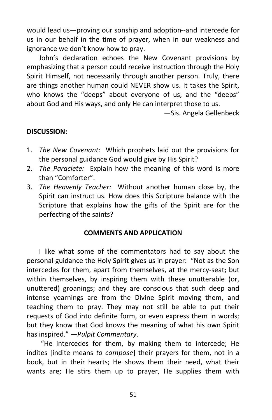would lead us—proving our sonship and adoption--and intercede for us in our behalf in the time of prayer, when in our weakness and ignorance we don't know how to pray.

John's declaration echoes the New Covenant provisions by emphasizing that a person could receive instruction through the Holy Spirit Himself, not necessarily through another person. Truly, there are things another human could NEVER show us. It takes the Spirit, who knows the "deeps" about everyone of us, and the "deeps" about God and His ways, and only He can interpret those to us.

—Sis. Angela Gellenbeck

#### **DISCUSSION:**

- 1. *The New Covenant:* Which prophets laid out the provisions for the personal guidance God would give by His Spirit?
- 2. *The Paraclete:* Explain how the meaning of this word is more than "Comforter".
- 3. *The Heavenly Teacher:* Without another human close by, the Spirit can instruct us. How does this Scripture balance with the Scripture that explains how the gifts of the Spirit are for the perfecting of the saints?

#### **COMMENTS AND APPLICATION**

I like what some of the commentators had to say about the personal guidance the Holy Spirit gives us in prayer: "Not as the Son intercedes for them, apart from themselves, at the mercy-seat; but within themselves, by inspiring them with these unutterable (or, unuttered) groanings; and they are conscious that such deep and intense yearnings are from the Divine Spirit moving them, and teaching them to pray. They may not still be able to put their requests of God into definite form, or even express them in words; but they know that God knows the meaning of what his own Spirit has inspired." —*Pulpit Commentary*.

"He intercedes for them, by making them to intercede; He indites [indite means *to compose*] their prayers for them, not in a book, but in their hearts; He shows them their need, what their wants are; He stirs them up to prayer, He supplies them with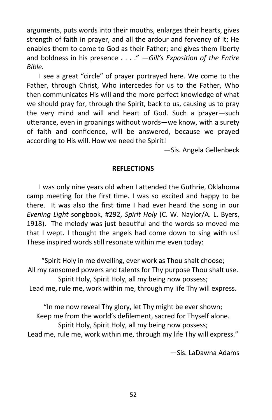arguments, puts words into their mouths, enlarges their hearts, gives strength of faith in prayer, and all the ardour and fervency of it; He enables them to come to God as their Father; and gives them liberty and boldness in his presence . . . ." —*Gill's Exposition of the Entire Bible.*

I see a great "circle" of prayer portrayed here. We come to the Father, through Christ, Who intercedes for us to the Father, Who then communicates His will and the more perfect knowledge of what we should pray for, through the Spirit, back to us, causing us to pray the very mind and will and heart of God. Such a prayer—such utterance, even in groanings without words—we know, with a surety of faith and confidence, will be answered, because we prayed according to His will. How we need the Spirit!

—Sis. Angela Gellenbeck

# **REFLECTIONS**

I was only nine years old when I attended the Guthrie, Oklahoma camp meeting for the first time. I was so excited and happy to be there. It was also the first time I had ever heard the song in our *Evening Light* songbook, #292, *Spirit Holy* (C. W. Naylor/A. L. Byers, 1918). The melody was just beautiful and the words so moved me that I wept. I thought the angels had come down to sing with us! These inspired words still resonate within me even today:

"Spirit Holy in me dwelling, ever work as Thou shalt choose; All my ransomed powers and talents for Thy purpose Thou shalt use. Spirit Holy, Spirit Holy, all my being now possess; Lead me, rule me, work within me, through my life Thy will express.

"In me now reveal Thy glory, let Thy might be ever shown; Keep me from the world's defilement, sacred for Thyself alone. Spirit Holy, Spirit Holy, all my being now possess; Lead me, rule me, work within me, through my life Thy will express."

—Sis. LaDawna Adams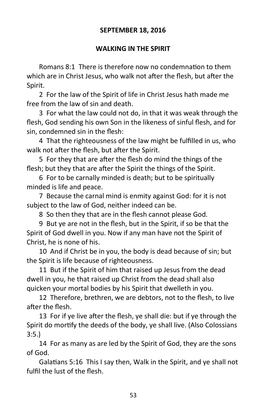#### **SEPTEMBER 18, 2016**

#### **WALKING IN THE SPIRIT**

Romans 8:1 There is therefore now no condemnation to them which are in Christ Jesus, who walk not after the flesh, but after the Spirit.

2 For the law of the Spirit of life in Christ Jesus hath made me free from the law of sin and death.

3 For what the law could not do, in that it was weak through the flesh, God sending his own Son in the likeness of sinful flesh, and for sin, condemned sin in the flesh:

4 That the righteousness of the law might be fulfilled in us, who walk not after the flesh, but after the Spirit.

5 For they that are after the flesh do mind the things of the flesh; but they that are after the Spirit the things of the Spirit.

6 For to be carnally minded is death; but to be spiritually minded is life and peace.

7 Because the carnal mind is enmity against God: for it is not subject to the law of God, neither indeed can be.

8 So then they that are in the flesh cannot please God.

9 But ye are not in the flesh, but in the Spirit, if so be that the Spirit of God dwell in you. Now if any man have not the Spirit of Christ, he is none of his.

10 And if Christ be in you, the body is dead because of sin; but the Spirit is life because of righteousness.

11 But if the Spirit of him that raised up Jesus from the dead dwell in you, he that raised up Christ from the dead shall also quicken your mortal bodies by his Spirit that dwelleth in you.

12 Therefore, brethren, we are debtors, not to the flesh, to live after the flesh.

13 For if ye live after the flesh, ye shall die: but if ye through the Spirit do mortify the deeds of the body, ye shall live. (Also Colossians 3:5.)

14 For as many as are led by the Spirit of God, they are the sons of God.

Galatians 5:16 This I say then, Walk in the Spirit, and ye shall not fulfil the lust of the flesh.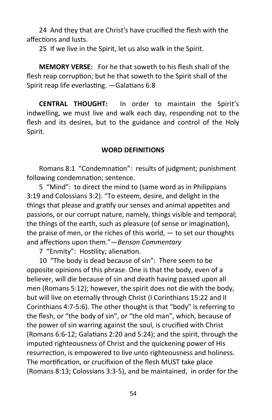24 And they that are Christ's have crucified the flesh with the affections and lusts.

25 If we live in the Spirit, let us also walk in the Spirit.

**MEMORY VERSE:** For he that soweth to his flesh shall of the flesh reap corruption; but he that soweth to the Spirit shall of the Spirit reap life everlasting. —Galatians 6:8

**CENTRAL THOUGHT:** In order to maintain the Spirit's indwelling, we must live and walk each day, responding not to the flesh and its desires, but to the guidance and control of the Holy Spirit.

#### **WORD DEFINITIONS**

Romans 8:1 "Condemnation": results of judgment; punishment following condemnation; sentence.

5 "Mind": to direct the mind to (same word as in Philippians 3:19 and Colossians 3:2). "To esteem, desire, and delight in the things that please and gratify our senses and animal appetites and passions, or our corrupt nature, namely, things visible and temporal; the things of the earth, such as pleasure (of sense or imagination), the praise of men, or the riches of this world,  $-$  to set our thoughts and affections upon them."—*Benson Commentary* 

7 "Enmity": Hostility; alienation.

10 "The body is dead because of sin": There seem to be opposite opinions of this phrase. One is that the body, even of a believer, will die because of sin and death having passed upon all men (Romans 5:12); however, the spirit does not die with the body, but will live on eternally through Christ (I Corinthians 15:22 and II Corinthians 4:7-5:6). The other thought is that "body" is referring to the flesh, or "the body of sin", or "the old man", which, because of the power of sin warring against the soul, is crucified with Christ (Romans 6:6-12; Galatians 2:20 and 5:24); and the spirit, through the imputed righteousness of Christ and the quickening power of His resurrection, is empowered to live unto righteousness and holiness. The mortification, or crucifixion of the flesh MUST take place (Romans 8:13; Colossians 3:3-5), and be maintained, in order for the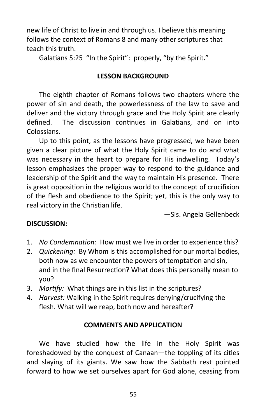new life of Christ to live in and through us. I believe this meaning follows the context of Romans 8 and many other scriptures that teach this truth.

Galatians 5:25 "In the Spirit": properly, "by the Spirit."

# **LESSON BACKGROUND**

The eighth chapter of Romans follows two chapters where the power of sin and death, the powerlessness of the law to save and deliver and the victory through grace and the Holy Spirit are clearly defined. The discussion continues in Galatians, and on into Colossians.

Up to this point, as the lessons have progressed, we have been given a clear picture of what the Holy Spirit came to do and what was necessary in the heart to prepare for His indwelling. Today's lesson emphasizes the proper way to respond to the guidance and leadership of the Spirit and the way to maintain His presence. There is great opposition in the religious world to the concept of crucifixion of the flesh and obedience to the Spirit; yet, this is the only way to real victory in the Christian life.

—Sis. Angela Gellenbeck

# **DISCUSSION:**

- 1. *No Condemnation:* How must we live in order to experience this?
- 2. *Quickening:* By Whom is this accomplished for our mortal bodies, both now as we encounter the powers of temptation and sin, and in the final Resurrection? What does this personally mean to you?
- 3. *Mortify:* What things are in this list in the scriptures?
- 4. *Harvest:* Walking in the Spirit requires denying/crucifying the flesh. What will we reap, both now and hereafter?

# **COMMENTS AND APPLICATION**

We have studied how the life in the Holy Spirit was foreshadowed by the conquest of Canaan—the toppling of its cities and slaying of its giants. We saw how the Sabbath rest pointed forward to how we set ourselves apart for God alone, ceasing from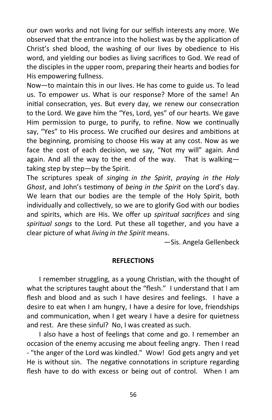our own works and not living for our selfish interests any more. We observed that the entrance into the holiest was by the application of Christ's shed blood, the washing of our lives by obedience to His word, and yielding our bodies as living sacrifices to God. We read of the disciples in the upper room, preparing their hearts and bodies for His empowering fullness.

Now—to maintain this in our lives. He has come to guide us. To lead us. To empower us. What is our response? More of the same! An initial consecration, yes. But every day, we renew our consecration to the Lord. We gave him the "Yes, Lord, yes" of our hearts. We gave Him permission to purge, to purify, to refine. Now we continually say, "Yes" to His process. We crucified our desires and ambitions at the beginning, promising to choose His way at any cost. Now as we face the cost of each decision, we say, "Not my will" again. And again. And all the way to the end of the way. That is walkingtaking step by step—by the Spirit.

The scriptures speak of *singing in the Spirit*, *praying in the Holy Ghost*, and John's testimony of *being in the Spirit* on the Lord's day. We learn that our bodies are the temple of the Holy Spirit, both individually and collectively, so we are to glorify God with our bodies and spirits, which are His. We offer up *spiritual sacrifices* and sing *spiritual songs* to the Lord. Put these all together, and you have a clear picture of what *living in the Spirit* means.

—Sis. Angela Gellenbeck

#### **REFLECTIONS**

I remember struggling, as a young Christian, with the thought of what the scriptures taught about the "flesh." I understand that I am flesh and blood and as such I have desires and feelings. I have a desire to eat when I am hungry, I have a desire for love, friendships and communication, when I get weary I have a desire for quietness and rest. Are these sinful? No, I was created as such.

I also have a host of feelings that come and go. I remember an occasion of the enemy accusing me about feeling angry. Then I read - "the anger of the Lord was kindled." Wow! God gets angry and yet He is without sin. The negative connotations in scripture regarding flesh have to do with excess or being out of control. When I am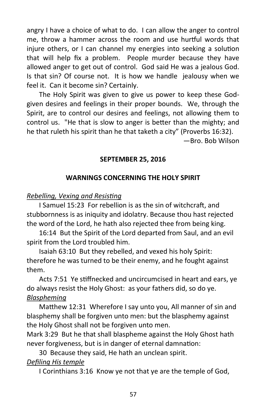angry I have a choice of what to do. I can allow the anger to control me, throw a hammer across the room and use hurtful words that injure others, or I can channel my energies into seeking a solution that will help fix a problem. People murder because they have allowed anger to get out of control. God said He was a jealous God. Is that sin? Of course not. It is how we handle jealousy when we feel it. Can it become sin? Certainly.

The Holy Spirit was given to give us power to keep these Godgiven desires and feelings in their proper bounds. We, through the Spirit, are to control our desires and feelings, not allowing them to control us. "He that is slow to anger is better than the mighty; and he that ruleth his spirit than he that taketh a city" (Proverbs 16:32).

—Bro. Bob Wilson

# **SEPTEMBER 25, 2016**

# **WARNINGS CONCERNING THE HOLY SPIRIT**

# *Rebelling, Vexing and Resisting*

I Samuel 15:23 For rebellion is as the sin of witchcraft, and stubbornness is as iniquity and idolatry. Because thou hast rejected the word of the Lord, he hath also rejected thee from being king.

16:14 But the Spirit of the Lord departed from Saul, and an evil spirit from the Lord troubled him.

Isaiah 63:10 But they rebelled, and vexed his holy Spirit: therefore he was turned to be their enemy, and he fought against them.

Acts 7:51 Ye stiffnecked and uncircumcised in heart and ears, ye do always resist the Holy Ghost: as your fathers did, so do ye. *Blaspheming*

Matthew 12:31 Wherefore I say unto you, All manner of sin and blasphemy shall be forgiven unto men: but the blasphemy against the Holy Ghost shall not be forgiven unto men.

Mark 3:29 But he that shall blaspheme against the Holy Ghost hath never forgiveness, but is in danger of eternal damnation:

30 Because they said, He hath an unclean spirit.

# *Defiling His temple*

I Corinthians 3:16 Know ye not that ye are the temple of God,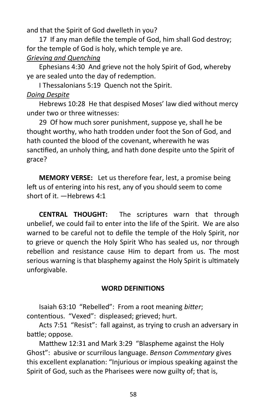and that the Spirit of God dwelleth in you?

17 If any man defile the temple of God, him shall God destroy; for the temple of God is holy, which temple ye are. *Grieving and Quenching*

Ephesians 4:30 And grieve not the holy Spirit of God, whereby ye are sealed unto the day of redemption.

I Thessalonians 5:19 Quench not the Spirit.

# *Doing Despite*

Hebrews 10:28 He that despised Moses' law died without mercy under two or three witnesses:

29 Of how much sorer punishment, suppose ye, shall he be thought worthy, who hath trodden under foot the Son of God, and hath counted the blood of the covenant, wherewith he was sanctified, an unholy thing, and hath done despite unto the Spirit of grace?

**MEMORY VERSE:** Let us therefore fear, lest, a promise being left us of entering into his rest, any of you should seem to come short of it. —Hebrews 4:1

**CENTRAL THOUGHT:** The scriptures warn that through unbelief, we could fail to enter into the life of the Spirit. We are also warned to be careful not to defile the temple of the Holy Spirit, nor to grieve or quench the Holy Spirit Who has sealed us, nor through rebellion and resistance cause Him to depart from us. The most serious warning is that blasphemy against the Holy Spirit is ultimately unforgivable.

# **WORD DEFINITIONS**

Isaiah 63:10 "Rebelled": From a root meaning *bitter*; contentious. "Vexed": displeased; grieved; hurt.

Acts 7:51 "Resist": fall against, as trying to crush an adversary in battle; oppose.

Matthew 12:31 and Mark 3:29 "Blaspheme against the Holy Ghost": abusive or scurrilous language. *Benson Commentary* gives this excellent explanation: "Injurious or impious speaking against the Spirit of God, such as the Pharisees were now guilty of; that is,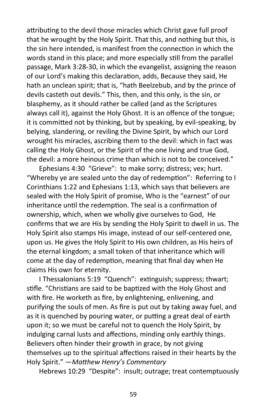attributing to the devil those miracles which Christ gave full proof that he wrought by the Holy Spirit. That this, and nothing but this, is the sin here intended, is manifest from the connection in which the words stand in this place; and more especially still from the parallel passage, Mark 3:28-30, in which the evangelist, assigning the reason of our Lord's making this declaration, adds, Because they said, He hath an unclean spirit; that is, "hath Beelzebub, and by the prince of devils casteth out devils." This, then, and this only, is the sin, or blasphemy, as it should rather be called (and as the Scriptures always call it), against the Holy Ghost. It is an offence of the tongue; it is committed not by thinking, but by speaking, by evil-speaking, by belying, slandering, or reviling the Divine Spirit, by which our Lord wrought his miracles, ascribing them to the devil: which in fact was calling the Holy Ghost, or the Spirit of the one living and true God, the devil: a more heinous crime than which is not to be conceived."

Ephesians 4:30 "Grieve": to make sorry; distress; vex; hurt. "Whereby ye are sealed unto the day of redemption": Referring to I Corinthians 1:22 and Ephesians 1:13, which says that believers are sealed with the Holy Spirit of promise, Who is the "earnest" of our inheritance until the redemption. The seal is a confirmation of ownership, which, when we wholly give ourselves to God, He confirms that we are His by sending the Holy Spirit to dwell in us. The Holy Spirit also stamps His image, instead of our self-centered one, upon us. He gives the Holy Spirit to His own children, as His heirs of the eternal kingdom; a small token of that inheritance which will come at the day of redemption, meaning that final day when He claims His own for eternity.

I Thessalonians 5:19 "Quench": extinguish; suppress; thwart; stifle. "Christians are said to be baptized with the Holy Ghost and with fire. He worketh as fire, by enlightening, enlivening, and purifying the souls of men. As fire is put out by taking away fuel, and as it is quenched by pouring water, or putting a great deal of earth upon it; so we must be careful not to quench the Holy Spirit, by indulging carnal lusts and affections, minding only earthly things. Believers often hinder their growth in grace, by not giving themselves up to the spiritual affections raised in their hearts by the Holy Spirit." —*Matthew Henry's Commentary*

Hebrews 10:29 "Despite": insult; outrage; treat contemptuously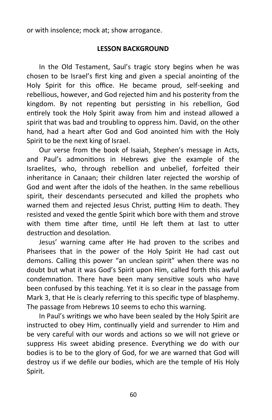or with insolence; mock at; show arrogance.

#### **LESSON BACKGROUND**

In the Old Testament, Saul's tragic story begins when he was chosen to be Israel's first king and given a special anointing of the Holy Spirit for this office. He became proud, self-seeking and rebellious, however, and God rejected him and his posterity from the kingdom. By not repenting but persisting in his rebellion, God entirely took the Holy Spirit away from him and instead allowed a spirit that was bad and troubling to oppress him. David, on the other hand, had a heart after God and God anointed him with the Holy Spirit to be the next king of Israel.

Our verse from the book of Isaiah, Stephen's message in Acts, and Paul's admonitions in Hebrews give the example of the Israelites, who, through rebellion and unbelief, forfeited their inheritance in Canaan; their children later rejected the worship of God and went after the idols of the heathen. In the same rebellious spirit, their descendants persecuted and killed the prophets who warned them and rejected Jesus Christ, putting Him to death. They resisted and vexed the gentle Spirit which bore with them and strove with them time after time, until He left them at last to utter destruction and desolation.

Jesus' warning came after He had proven to the scribes and Pharisees that in the power of the Holy Spirit He had cast out demons. Calling this power "an unclean spirit" when there was no doubt but what it was God's Spirit upon Him, called forth this awful condemnation. There have been many sensitive souls who have been confused by this teaching. Yet it is so clear in the passage from Mark 3, that He is clearly referring to this specific type of blasphemy. The passage from Hebrews 10 seems to echo this warning.

In Paul's writings we who have been sealed by the Holy Spirit are instructed to obey Him, continually yield and surrender to Him and be very careful with our words and actions so we will not grieve or suppress His sweet abiding presence. Everything we do with our bodies is to be to the glory of God, for we are warned that God will destroy us if we defile our bodies, which are the temple of His Holy Spirit.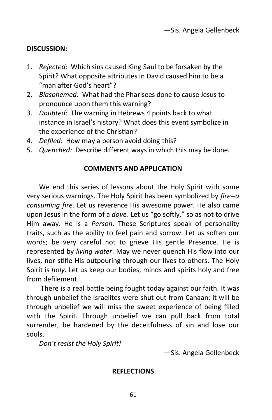# **DISCUSSION:**

- 1. *Rejected:* Which sins caused King Saul to be forsaken by the Spirit? What opposite attributes in David caused him to be a "man after God's heart"?
- 2. *Blasphemed:* What had the Pharisees done to cause Jesus to pronounce upon them this warning?
- 3. *Doubted:* The warning in Hebrews 4 points back to what instance in Israel's history? What does this event symbolize in the experience of the Christian?
- 4. *Defiled:* How may a person avoid doing this?
- 5. *Quenched:* Describe different ways in which this may be done.

# **COMMENTS AND APPLICATION**

We end this series of lessons about the Holy Spirit with some very serious warnings. The Holy Spirit has been symbolized by *fire--a consuming fire*. Let us reverence His awesome power. He also came upon Jesus in the form of a *dove*. Let us "go softly," so as not to drive Him away. He is a *Person*. These Scriptures speak of personality traits, such as the ability to feel pain and sorrow. Let us soften our words; be very careful not to grieve His gentle Presence. He is represented by *living water*. May we never quench His flow into our lives, nor stifle His outpouring through our lives to others. The Holy Spirit is *holy*. Let us keep our bodies, minds and spirits holy and free from defilement.

There is a real battle being fought today against our faith. It was through unbelief the Israelites were shut out from Canaan; it will be through unbelief we will miss the sweet experience of being filled with the Spirit. Through unbelief we can pull back from total surrender, be hardened by the deceitfulness of sin and lose our souls.

*Don't resist the Holy Spirit!*

—Sis. Angela Gellenbeck

#### **REFLECTIONS**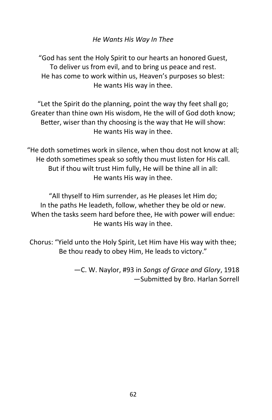# *He Wants His Way In Thee*

"God has sent the Holy Spirit to our hearts an honored Guest, To deliver us from evil, and to bring us peace and rest. He has come to work within us, Heaven's purposes so blest: He wants His way in thee.

"Let the Spirit do the planning, point the way thy feet shall go; Greater than thine own His wisdom, He the will of God doth know; Better, wiser than thy choosing is the way that He will show: He wants His way in thee.

"He doth sometimes work in silence, when thou dost not know at all; He doth sometimes speak so softly thou must listen for His call. But if thou wilt trust Him fully, He will be thine all in all: He wants His way in thee.

"All thyself to Him surrender, as He pleases let Him do; In the paths He leadeth, follow, whether they be old or new. When the tasks seem hard before thee, He with power will endue: He wants His way in thee.

Chorus: "Yield unto the Holy Spirit, Let Him have His way with thee; Be thou ready to obey Him, He leads to victory."

> —C. W. Naylor, #93 in *Songs of Grace and Glory*, 1918 —Submitted by Bro. Harlan Sorrell